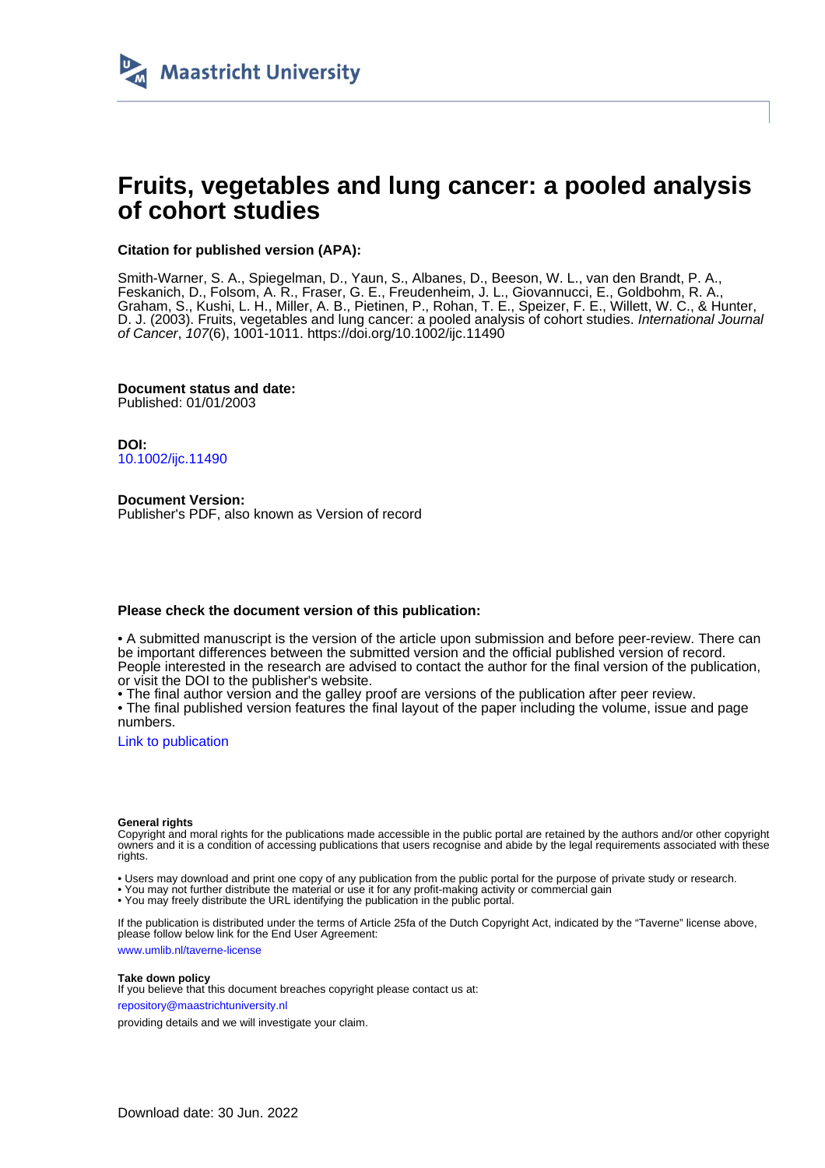

# **Fruits, vegetables and lung cancer: a pooled analysis of cohort studies**

# **Citation for published version (APA):**

Smith-Warner, S. A., Spiegelman, D., Yaun, S., Albanes, D., Beeson, W. L., van den Brandt, P. A., Feskanich, D., Folsom, A. R., Fraser, G. E., Freudenheim, J. L., Giovannucci, E., Goldbohm, R. A., Graham, S., Kushi, L. H., Miller, A. B., Pietinen, P., Rohan, T. E., Speizer, F. E., Willett, W. C., & Hunter, D. J. (2003). Fruits, vegetables and lung cancer: a pooled analysis of cohort studies. International Journal of Cancer, 107(6), 1001-1011. <https://doi.org/10.1002/ijc.11490>

**Document status and date:** Published: 01/01/2003

**DOI:** [10.1002/ijc.11490](https://doi.org/10.1002/ijc.11490)

**Document Version:** Publisher's PDF, also known as Version of record

# **Please check the document version of this publication:**

• A submitted manuscript is the version of the article upon submission and before peer-review. There can be important differences between the submitted version and the official published version of record. People interested in the research are advised to contact the author for the final version of the publication, or visit the DOI to the publisher's website.

• The final author version and the galley proof are versions of the publication after peer review.

• The final published version features the final layout of the paper including the volume, issue and page numbers.

[Link to publication](https://cris.maastrichtuniversity.nl/en/publications/e5a7f16c-9f94-461e-9454-f35522b553f5)

# **General rights**

Copyright and moral rights for the publications made accessible in the public portal are retained by the authors and/or other copyright owners and it is a condition of accessing publications that users recognise and abide by the legal requirements associated with these rights.

• Users may download and print one copy of any publication from the public portal for the purpose of private study or research.

• You may not further distribute the material or use it for any profit-making activity or commercial gain

• You may freely distribute the URL identifying the publication in the public portal.

If the publication is distributed under the terms of Article 25fa of the Dutch Copyright Act, indicated by the "Taverne" license above, please follow below link for the End User Agreement:

www.umlib.nl/taverne-license

# **Take down policy**

If you believe that this document breaches copyright please contact us at: repository@maastrichtuniversity.nl

providing details and we will investigate your claim.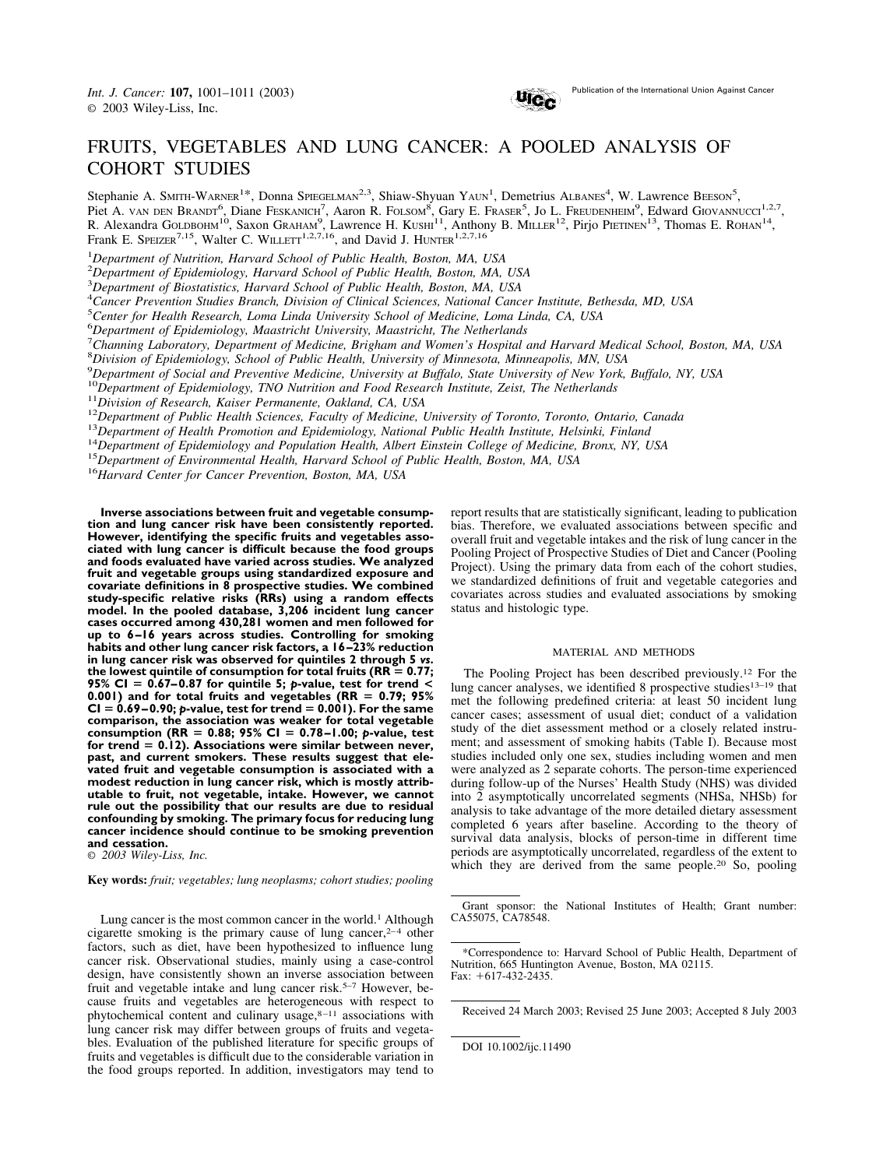

# FRUITS, VEGETABLES AND LUNG CANCER: A POOLED ANALYSIS OF COHORT STUDIES

Stephanie A. SMITH-WARNER<sup>1\*</sup>, Donna SPIEGELMAN<sup>2,3</sup>, Shiaw-Shyuan YAUN<sup>1</sup>, Demetrius ALBANES<sup>4</sup>, W. Lawrence BEESON<sup>5</sup>, Piet A. VAN DEN BRANDT<sup>6</sup>, Diane FESKANICH<sup>7</sup>, Aaron R. FOLSOM<sup>8</sup>, Gary E. FRASER<sup>5</sup>, Jo L. FREUDENHEIM<sup>9</sup>, Edward GIOVANNUCCI<sup>1,2,7</sup>, R. Alexandra GOLDBOHM<sup>10</sup>, Saxon Graham<sup>9</sup>, Lawrence H. KUSHI<sup>11</sup>, Anthony B. MILLER<sup>12</sup>, Pirjo PIETINEN<sup>13</sup>, Thomas E. ROHAN<sup>14</sup>, Frank E. SPEIZER<sup>7,15</sup>, Walter C. WILLETT<sup>1,2,7,16</sup>, and David J. HUNTER<sup>1,2,7,16</sup>

1 *Department of Nutrition, Harvard School of Public Health, Boston, MA, USA*

2 *Department of Epidemiology, Harvard School of Public Health, Boston, MA, USA*

3 *Department of Biostatistics, Harvard School of Public Health, Boston, MA, USA*

4 *Cancer Prevention Studies Branch, Division of Clinical Sciences, National Cancer Institute, Bethesda, MD, USA*

5 *Center for Health Research, Loma Linda University School of Medicine, Loma Linda, CA, USA*

6 *Department of Epidemiology, Maastricht University, Maastricht, The Netherlands*

7 *Channing Laboratory, Department of Medicine, Brigham and Women's Hospital and Harvard Medical School, Boston, MA, USA*

8 *Division of Epidemiology, School of Public Health, University of Minnesota, Minneapolis, MN, USA*

9 *Department of Social and Preventive Medicine, University at Buffalo, State University of New York, Buffalo, NY, USA*

<sup>10</sup>Department of Epidemiology, TNO Nutrition and Food Research Institute, Zeist, The Netherlands<br><sup>11</sup>Division of Research, Kaiser Permanente, Oakland, CA, USA<br><sup>12</sup>Department of Public Health Sciences, Faculty of Medicine,

**Inverse associations between fruit and vegetable consumption and lung cancer risk have been consistently reported. However, identifying the specific fruits and vegetables associated with lung cancer is difficult because the food groups and foods evaluated have varied across studies. We analyzed fruit and vegetable groups using standardized exposure and covariate definitions in 8 prospective studies. We combined study-specific relative risks (RRs) using a random effects model. In the pooled database, 3,206 incident lung cancer cases occurred among 430,281 women and men followed for up to 6 –16 years across studies. Controlling for smoking habits and other lung cancer risk factors, a 16 –23% reduction in lung cancer risk was observed for quintiles 2 through 5** *vs***.** the lowest quintile of consumption for total fruits ( $RR = 0.77$ ; **95% CI 0.67– 0.87 for quintile 5;** *p***-value, test for trend < 0.001) and for total fruits and vegetables (RR 0.79; 95%**  $CI = 0.69 - 0.90; p-value, test for trend = 0.001$ . For the same **comparison, the association was weaker for total vegetable consumption (RR 0.88; 95% CI 0.78 –1.00;** *p***-value, test for trend 0.12). Associations were similar between never, past, and current smokers. These results suggest that elevated fruit and vegetable consumption is associated with a modest reduction in lung cancer risk, which is mostly attributable to fruit, not vegetable, intake. However, we cannot rule out the possibility that our results are due to residual confounding by smoking. The primary focus for reducing lung cancer incidence should continue to be smoking prevention and cessation.**

© *2003 Wiley-Liss, Inc.*

**Key words:** *fruit; vegetables; lung neoplasms; cohort studies; pooling*

Lung cancer is the most common cancer in the world.<sup>1</sup> Although cigarette smoking is the primary cause of lung cancer, $2-4$  other factors, such as diet, have been hypothesized to influence lung cancer risk. Observational studies, mainly using a case-control design, have consistently shown an inverse association between fruit and vegetable intake and lung cancer risk.<sup>5–7</sup> However, because fruits and vegetables are heterogeneous with respect to phytochemical content and culinary usage, $8-11$  associations with lung cancer risk may differ between groups of fruits and vegetables. Evaluation of the published literature for specific groups of fruits and vegetables is difficult due to the considerable variation in the food groups reported. In addition, investigators may tend to

report results that are statistically significant, leading to publication bias. Therefore, we evaluated associations between specific and overall fruit and vegetable intakes and the risk of lung cancer in the Pooling Project of Prospective Studies of Diet and Cancer (Pooling Project). Using the primary data from each of the cohort studies, we standardized definitions of fruit and vegetable categories and covariates across studies and evaluated associations by smoking status and histologic type.

### MATERIAL AND METHODS

The Pooling Project has been described previously.12 For the lung cancer analyses, we identified 8 prospective studies13–19 that met the following predefined criteria: at least 50 incident lung cancer cases; assessment of usual diet; conduct of a validation study of the diet assessment method or a closely related instrument; and assessment of smoking habits (Table I). Because most studies included only one sex, studies including women and men were analyzed as 2 separate cohorts. The person-time experienced during follow-up of the Nurses' Health Study (NHS) was divided into 2 asymptotically uncorrelated segments (NHSa, NHSb) for analysis to take advantage of the more detailed dietary assessment completed 6 years after baseline. According to the theory of survival data analysis, blocks of person-time in different time periods are asymptotically uncorrelated, regardless of the extent to which they are derived from the same people.<sup>20</sup> So, pooling

Grant sponsor: the National Institutes of Health; Grant number: CA55075, CA78548.

Received 24 March 2003; Revised 25 June 2003; Accepted 8 July 2003

DOI 10.1002/ijc.11490

<sup>\*</sup>Correspondence to: Harvard School of Public Health, Department of Nutrition, 665 Huntington Avenue, Boston, MA 02115. Fax: +617-432-2435.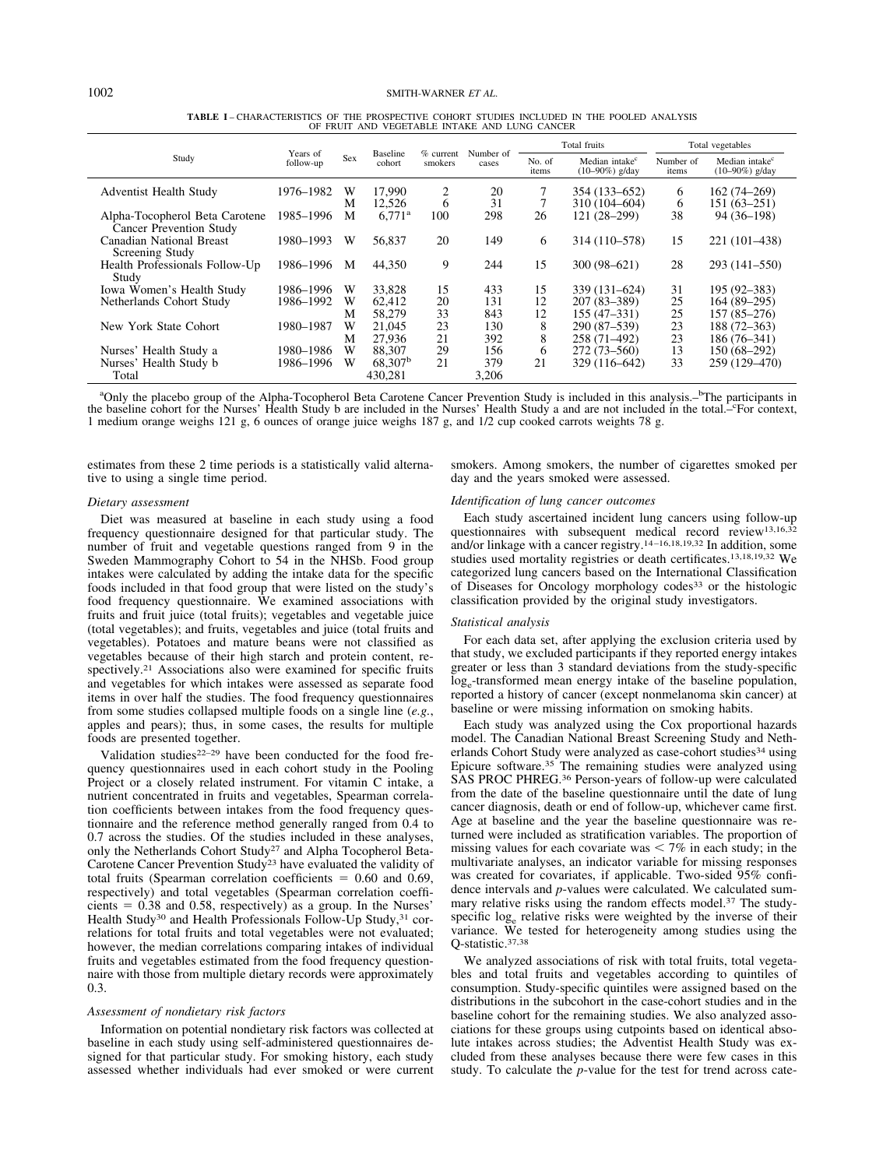|                                                                  |                       |     |                           |                        |                    |                 | Total fruits                                    |                    | Total vegetables                                |
|------------------------------------------------------------------|-----------------------|-----|---------------------------|------------------------|--------------------|-----------------|-------------------------------------------------|--------------------|-------------------------------------------------|
| Study                                                            | Years of<br>follow-up | Sex | <b>Baseline</b><br>cohort | $%$ current<br>smokers | Number of<br>cases | No. of<br>items | Median intake <sup>c</sup><br>$(10-90\%)$ g/day | Number of<br>items | Median intake <sup>c</sup><br>$(10-90\%)$ g/day |
| <b>Adventist Health Study</b>                                    | 1976–1982             | W   | 17.990                    | 2                      | 20                 |                 | 354 (133–652)                                   | 6                  | $162(74 - 269)$                                 |
|                                                                  |                       | М   | 12.526                    | 6                      | 31                 |                 | 310 (104-604)                                   | 6                  | $151(63 - 251)$                                 |
| Alpha-Tocopherol Beta Carotene<br><b>Cancer Prevention Study</b> | 1985–1996             | M   | $6.771^{\rm a}$           | 100                    | 298                | 26              | $121(28-299)$                                   | 38                 | 94 (36-198)                                     |
| Canadian National Breast<br>Screening Study                      | 1980-1993             | W   | 56.837                    | 20                     | 149                | 6               | 314 (110-578)                                   | 15                 | 221 (101-438)                                   |
| Health Professionals Follow-Up<br>Study                          | 1986–1996             | M   | 44,350                    | 9                      | 244                | 15              | $300(98 - 621)$                                 | 28                 | 293 (141–550)                                   |
| Iowa Women's Health Study                                        | 1986–1996             | w   | 33,828                    | 15                     | 433                | 15              | 339 (131–624)                                   | 31                 | 195 (92–383)                                    |
| Netherlands Cohort Study                                         | 1986–1992             | W   | 62.412                    | 20                     | 131                | 12              | 207 (83-389)                                    | 25                 | 164 (89–295)                                    |
|                                                                  |                       | М   | 58,279                    | 33                     | 843                | 12              | $155(47-331)$                                   | 25                 | 157 (85–276)                                    |
| New York State Cohort                                            | 1980–1987             | W   | 21,045                    | 23                     | 130                | 8               | 290 (87–539)                                    | 23                 | 188 (72–363)                                    |
|                                                                  |                       | М   | 27,936                    | 21                     | 392                | 8               | 258 (71-492)                                    | 23                 | 186 (76-341)                                    |
| Nurses' Health Study a                                           | 1980–1986             | w   | 88,307                    | 29                     | 156                | 6               | $272(73 - 560)$                                 | 13                 | $150(68-292)$                                   |
| Nurses' Health Study b                                           | 1986–1996             | W   | 68.307 <sup>b</sup>       | 21                     | 379                | 21              | 329 (116-642)                                   | 33                 | 259 (129-470)                                   |
| Total                                                            |                       |     | 430.281                   |                        | 3.206              |                 |                                                 |                    |                                                 |

**TABLE I** – CHARACTERISTICS OF THE PROSPECTIVE COHORT STUDIES INCLUDED IN THE POOLED ANALYSIS OF FRUIT AND VEGETABLE INTAKE AND LUNG CANCER

<sup>a</sup>Only the placebo group of the Alpha-Tocopherol Beta Carotene Cancer Prevention Study is included in this analysis.<sup>-b</sup>The participants in the baseline cohort for the Nurses' Health Study b are included in the Nurses' Health Study a and are not included in the total.<sup>1</sup>-For context, 1 medium orange weighs 121 g, 6 ounces of orange juice weighs 187 g, and 1/2 cup cooked carrots weights 78 g.

estimates from these 2 time periods is a statistically valid alternative to using a single time period.

smokers. Among smokers, the number of cigarettes smoked per day and the years smoked were assessed.

#### *Dietary assessment*

Diet was measured at baseline in each study using a food frequency questionnaire designed for that particular study. The number of fruit and vegetable questions ranged from 9 in the Sweden Mammography Cohort to 54 in the NHSb. Food group intakes were calculated by adding the intake data for the specific foods included in that food group that were listed on the study's food frequency questionnaire. We examined associations with fruits and fruit juice (total fruits); vegetables and vegetable juice (total vegetables); and fruits, vegetables and juice (total fruits and vegetables). Potatoes and mature beans were not classified as vegetables because of their high starch and protein content, respectively.21 Associations also were examined for specific fruits and vegetables for which intakes were assessed as separate food items in over half the studies. The food frequency questionnaires from some studies collapsed multiple foods on a single line (*e.g.*, apples and pears); thus, in some cases, the results for multiple foods are presented together.

Validation studies<sup>22–29</sup> have been conducted for the food frequency questionnaires used in each cohort study in the Pooling Project or a closely related instrument. For vitamin C intake, a nutrient concentrated in fruits and vegetables, Spearman correlation coefficients between intakes from the food frequency questionnaire and the reference method generally ranged from 0.4 to 0.7 across the studies. Of the studies included in these analyses, only the Netherlands Cohort Study<sup>27</sup> and Alpha Tocopherol Beta-Carotene Cancer Prevention Study23 have evaluated the validity of total fruits (Spearman correlation coefficients  $= 0.60$  and 0.69, respectively) and total vegetables (Spearman correlation coeffi $cients = 0.38$  and 0.58, respectively) as a group. In the Nurses' Health Study<sup>30</sup> and Health Professionals Follow-Up Study,<sup>31</sup> correlations for total fruits and total vegetables were not evaluated; however, the median correlations comparing intakes of individual fruits and vegetables estimated from the food frequency questionnaire with those from multiple dietary records were approximately 0.3.

### *Assessment of nondietary risk factors*

Information on potential nondietary risk factors was collected at baseline in each study using self-administered questionnaires designed for that particular study. For smoking history, each study assessed whether individuals had ever smoked or were current

#### *Identification of lung cancer outcomes*

Each study ascertained incident lung cancers using follow-up questionnaires with subsequent medical record review<sup>13,16,3</sup> and/or linkage with a cancer registry.14 –16,18,19,32 In addition, some studies used mortality registries or death certificates.13,18,19,32 We categorized lung cancers based on the International Classification of Diseases for Oncology morphology codes<sup>33</sup> or the histologic classification provided by the original study investigators.

#### *Statistical analysis*

For each data set, after applying the exclusion criteria used by that study, we excluded participants if they reported energy intakes greater or less than 3 standard deviations from the study-specific log<sub>e</sub>-transformed mean energy intake of the baseline population, reported a history of cancer (except nonmelanoma skin cancer) at baseline or were missing information on smoking habits.

Each study was analyzed using the Cox proportional hazards model. The Canadian National Breast Screening Study and Netherlands Cohort Study were analyzed as case-cohort studies<sup>34</sup> using Epicure software.35 The remaining studies were analyzed using SAS PROC PHREG.36 Person-years of follow-up were calculated from the date of the baseline questionnaire until the date of lung cancer diagnosis, death or end of follow-up, whichever came first. Age at baseline and the year the baseline questionnaire was returned were included as stratification variables. The proportion of missing values for each covariate was  $\lt 7\%$  in each study; in the multivariate analyses, an indicator variable for missing responses was created for covariates, if applicable. Two-sided 95% confidence intervals and *p*-values were calculated. We calculated summary relative risks using the random effects model.<sup>37</sup> The studyspecific log<sub>e</sub> relative risks were weighted by the inverse of their variance. We tested for heterogeneity among studies using the Q-statistic.37,38

We analyzed associations of risk with total fruits, total vegetables and total fruits and vegetables according to quintiles of consumption. Study-specific quintiles were assigned based on the distributions in the subcohort in the case-cohort studies and in the baseline cohort for the remaining studies. We also analyzed associations for these groups using cutpoints based on identical absolute intakes across studies; the Adventist Health Study was excluded from these analyses because there were few cases in this study. To calculate the *p*-value for the test for trend across cate-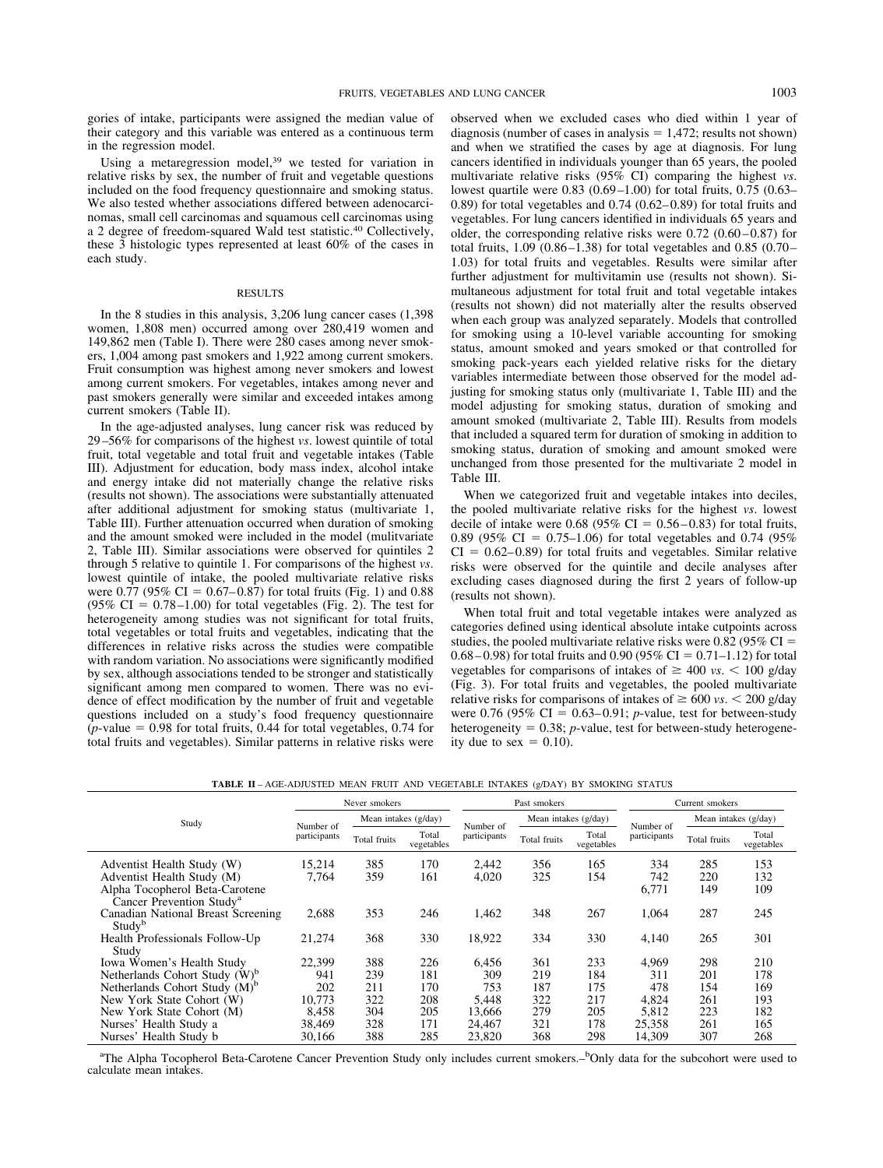gories of intake, participants were assigned the median value of their category and this variable was entered as a continuous term in the regression model.

Using a metaregression model,39 we tested for variation in relative risks by sex, the number of fruit and vegetable questions included on the food frequency questionnaire and smoking status. We also tested whether associations differed between adenocarcinomas, small cell carcinomas and squamous cell carcinomas using a 2 degree of freedom-squared Wald test statistic.40 Collectively, these 3 histologic types represented at least 60% of the cases in each study.

### RESULTS

In the 8 studies in this analysis, 3,206 lung cancer cases (1,398 women, 1,808 men) occurred among over 280,419 women and 149,862 men (Table I). There were 280 cases among never smokers, 1,004 among past smokers and 1,922 among current smokers. Fruit consumption was highest among never smokers and lowest among current smokers. For vegetables, intakes among never and past smokers generally were similar and exceeded intakes among current smokers (Table II).

In the age-adjusted analyses, lung cancer risk was reduced by 29 –56% for comparisons of the highest *vs*. lowest quintile of total fruit, total vegetable and total fruit and vegetable intakes (Table III). Adjustment for education, body mass index, alcohol intake and energy intake did not materially change the relative risks (results not shown). The associations were substantially attenuated after additional adjustment for smoking status (multivariate 1, Table III). Further attenuation occurred when duration of smoking and the amount smoked were included in the model (mulitvariate 2, Table III). Similar associations were observed for quintiles 2 through 5 relative to quintile 1. For comparisons of the highest *vs*. lowest quintile of intake, the pooled multivariate relative risks were  $0.77$  (95% CI =  $0.67-0.87$ ) for total fruits (Fig. 1) and 0.88  $(95\% \text{ CI} = 0.78 - 1.00)$  for total vegetables (Fig. 2). The test for heterogeneity among studies was not significant for total fruits, total vegetables or total fruits and vegetables, indicating that the differences in relative risks across the studies were compatible with random variation. No associations were significantly modified by sex, although associations tended to be stronger and statistically significant among men compared to women. There was no evidence of effect modification by the number of fruit and vegetable questions included on a study's food frequency questionnaire  $(p$ -value = 0.98 for total fruits, 0.44 for total vegetables, 0.74 for total fruits and vegetables). Similar patterns in relative risks were observed when we excluded cases who died within 1 year of diagnosis (number of cases in analysis  $= 1,472$ ; results not shown) and when we stratified the cases by age at diagnosis. For lung cancers identified in individuals younger than 65 years, the pooled multivariate relative risks (95% CI) comparing the highest *vs*. lowest quartile were 0.83 (0.69 –1.00) for total fruits, 0.75 (0.63–  $(0.89)$  for total vegetables and  $(0.74)(0.62-0.89)$  for total fruits and vegetables. For lung cancers identified in individuals 65 years and older, the corresponding relative risks were  $0.72$  ( $0.60 - 0.87$ ) for total fruits,  $1.09$  ( $0.86 - 1.38$ ) for total vegetables and  $0.85$  ( $0.70 -$ 1.03) for total fruits and vegetables. Results were similar after further adjustment for multivitamin use (results not shown). Simultaneous adjustment for total fruit and total vegetable intakes (results not shown) did not materially alter the results observed when each group was analyzed separately. Models that controlled for smoking using a 10-level variable accounting for smoking status, amount smoked and years smoked or that controlled for smoking pack-years each yielded relative risks for the dietary variables intermediate between those observed for the model adjusting for smoking status only (multivariate 1, Table III) and the model adjusting for smoking status, duration of smoking and amount smoked (multivariate 2, Table III). Results from models that included a squared term for duration of smoking in addition to smoking status, duration of smoking and amount smoked were unchanged from those presented for the multivariate 2 model in Table III.

When we categorized fruit and vegetable intakes into deciles, the pooled multivariate relative risks for the highest *vs*. lowest decile of intake were  $0.68$  (95% CI = 0.56–0.83) for total fruits, 0.89 (95% CI = 0.75–1.06) for total vegetables and 0.74 (95%)  $CI = 0.62 - 0.89$ ) for total fruits and vegetables. Similar relative risks were observed for the quintile and decile analyses after excluding cases diagnosed during the first 2 years of follow-up (results not shown).

When total fruit and total vegetable intakes were analyzed as categories defined using identical absolute intake cutpoints across studies, the pooled multivariate relative risks were 0.82 (95%  $CI =$  $0.68 - 0.98$ ) for total fruits and  $0.90$  (95% CI = 0.71–1.12) for total vegetables for comparisons of intakes of  $\geq 400$  *vs*.  $\lt$  100 g/day (Fig. 3). For total fruits and vegetables, the pooled multivariate relative risks for comparisons of intakes of  $\geq 600$  *vs*.  $\lt$  200 g/day were  $0.76$  (95% CI =  $0.63-0.91$ ; *p*-value, test for between-study heterogeneity  $= 0.38$ ; *p*-value, test for between-study heterogeneity due to sex  $= 0.10$ ).

| <b>TABLE II-AGE-ADJUSTED MEAN FRUIT AND VEGETABLE INTAKES (g/DAY) BY SMOKING STATUS</b> |  |  |  |  |  |  |
|-----------------------------------------------------------------------------------------|--|--|--|--|--|--|
|-----------------------------------------------------------------------------------------|--|--|--|--|--|--|

|                                                                                                                                    |                 | Never smokers        |                     |                | Past smokers         |                     |                     | Current smokers      |                     |
|------------------------------------------------------------------------------------------------------------------------------------|-----------------|----------------------|---------------------|----------------|----------------------|---------------------|---------------------|----------------------|---------------------|
| Study                                                                                                                              | Number of       | Mean intakes (g/day) |                     | Number of      | Mean intakes (g/day) |                     | Number of           | Mean intakes (g/day) |                     |
|                                                                                                                                    | participants    | Total fruits         | Total<br>vegetables | participants   | Total fruits         | Total<br>vegetables | participants        | Total fruits         | Total<br>vegetables |
| Adventist Health Study (W)<br>Adventist Health Study (M)<br>Alpha Tocopherol Beta-Carotene<br>Cancer Prevention Study <sup>a</sup> | 15,214<br>7,764 | 385<br>359           | 170<br>161          | 2.442<br>4,020 | 356<br>325           | 165<br>154          | 334<br>742<br>6,771 | 285<br>220<br>149    | 153<br>132<br>109   |
| Canadian National Breast Screening<br>Study <sup>b</sup>                                                                           | 2,688           | 353                  | 246                 | 1,462          | 348                  | 267                 | 1,064               | 287                  | 245                 |
| Health Professionals Follow-Up<br>Study                                                                                            | 21,274          | 368                  | 330                 | 18,922         | 334                  | 330                 | 4,140               | 265                  | 301                 |
| Iowa Women's Health Study                                                                                                          | 22,399          | 388                  | 226                 | 6,456          | 361                  | 233                 | 4,969               | 298                  | 210                 |
| Netherlands Cohort Study (W) <sup>b</sup>                                                                                          | 941             | 239                  | 181                 | 309            | 219                  | 184                 | 311                 | 201                  | 178                 |
| Netherlands Cohort Study $(M)^b$                                                                                                   | 202             | 211                  | 170                 | 753            | 187                  | 175                 | 478                 | 154                  | 169                 |
| New York State Cohort (W)                                                                                                          | 10,773          | 322                  | 208                 | 5,448          | 322                  | 217                 | 4,824               | 261                  | 193                 |
| New York State Cohort (M)                                                                                                          | 8,458           | 304                  | 205                 | 13.666         | 279                  | 205                 | 5,812               | 223                  | 182                 |
| Nurses' Health Study a                                                                                                             | 38,469          | 328                  | 171                 | 24.467         | 321                  | 178                 | 25,358              | 261                  | 165                 |
| Nurses' Health Study b                                                                                                             | 30,166          | 388                  | 285                 | 23,820         | 368                  | 298                 | 14.309              | 307                  | 268                 |

<sup>a</sup>The Alpha Tocopherol Beta-Carotene Cancer Prevention Study only includes current smokers.<sup>-b</sup>Only data for the subcohort were used to calculate mean intakes.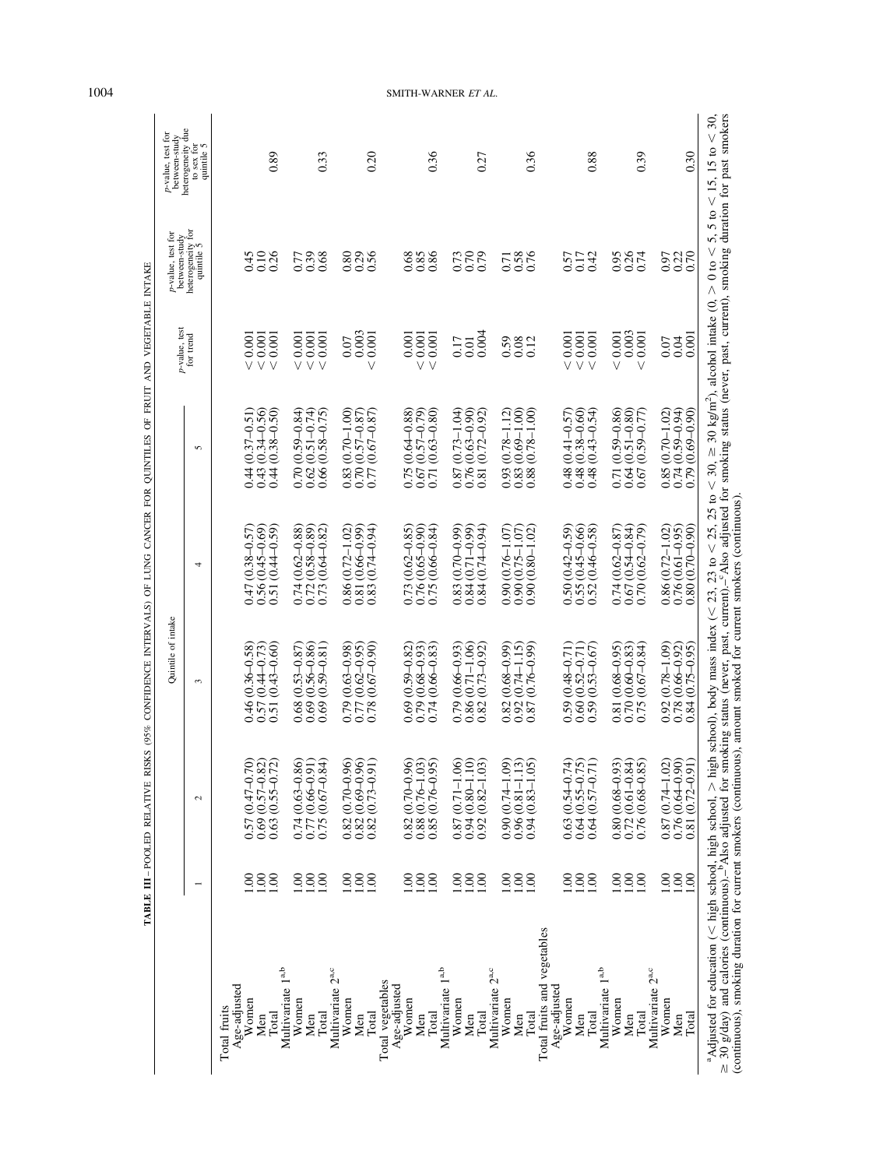| heterogeneity for<br>quintile 5<br>0.10<br>0.36<br>0.26<br>0.45<br>0.26<br>0.39<br>0.80<br>0.68<br>0.85<br>0.86<br>0.73<br>$\frac{62}{0.79}$<br>0.58<br>0.95<br>0.68<br>0.42<br>0.97<br>0.77<br>0.57<br>0.17<br>0.71<br>0.003<br>0.004<br>0.003<br>0.001<br>< 0.001<br>0.001<br>0.001<br>0.001<br>0.001<br>0.001<br>0.001<br>0.001<br>0.001<br>${}< 0.001$<br>0.001<br>$<0.001$<br>0.001<br>0.001<br>0.17<br>0.07<br>0.59<br>0.08<br>0.12<br>0.07<br>0.01<br>$\overline{\vee}$<br>V<br>$\vee$<br>$\vee$<br>$\vee$<br>$\vee$<br>$\vee$<br>V<br>V<br>V<br>$(0.59 - 0.86)$<br>$(0.34 - 0.56)$<br>$0.48(0.38 - 0.60)$<br>$(0.51 - 0.80)$<br>$(0.38 - 0.50)$<br>$(0.70 - 1.00)$<br>$\frac{0.87(0.73-1.04)}{0.76(0.63-0.90)}$<br>$(0.78 - 1.12)$<br>$(0.69 - 1.00)$<br>$(0.78 - 1.00)$<br>$(0.43 - 0.54)$<br>$(0.59 - 0.84)$<br>$(0.51 - 0.74)$<br>$0.66(0.58 - 0.75)$<br>$0.77(0.67 - 0.87)$<br>$0.75(0.64 - 0.88)$<br>$0.67(0.57 - 0.79)$<br>$(0.63 - 0.80)$<br>$(0.59 - 0.77)$<br>$(0.70 - 1.02)$<br>$(0.37 - 0.51)$<br>$0.70(0.57 - 0.87)$<br>$(0.72 - 0.92)$<br>$0.48(0.41 - 0.57)$<br>5<br>0.70<br>0.62<br>0.93<br>0.44<br>0.43<br>0.44<br>0.83<br>0.71<br>0.88<br>0.85<br>0.81<br>0.48<br>0.64<br>0.71<br>0.67<br>$(0.45 - 0.66)$<br>$(0.62 - 0.85)$<br>$(0.42 - 0.59)$<br>$0.86(0.72 - 1.02)$<br>$(0.62 - 0.88)$<br>$(0.65 - 0.90)$<br>$(0.46 - 0.58)$<br>$(0.54 - 0.84)$<br>$0.56(0.45-0.69)$<br>$(0.58 - 0.89)$<br>$(0.64 - 0.82)$<br>$(0.72 - 1.02)$<br>$(0.66 - 0.99)$<br>$(0.74 - 0.94)$<br>$(0.66 - 0.84)$<br>$(0.70 - 0.99)$<br>$(0.71 - 0.99)$<br>$(0.74 - 0.94)$<br>$(0.76 - 1.07)$<br>$(0.80 - 1.02)$<br>$0.74(0.62 - 0.87)$<br>$(0.44 - 0.59)$<br>$(0.75 - 1.07)$<br>$(0.62 - 0.79)$<br>$(0.38 - 0.57)$<br>4<br>0.51(<br>0.76(<br>0.81<br>0.90<br>0.50<br>0.84<br>0.55<br>0.86<br>0.83<br>0.47<br>0.74<br>0.72<br>0.73<br>0.73<br>0.75<br>0.83<br>0.67<br>0.70<br>0.52<br>$0.69(0.59 - 0.81)$<br>$(0.67 - 0.90)$<br>$(0.78 - 1.09)$<br>$(0.43 - 0.60)$<br>$(0.53 - 0.87)$<br>$(0.56 - 0.86)$<br>$(0.63 - 0.98)$<br>$0.77(0.62 - 0.95)$<br>$0.86(0.71 - 1.06)$<br>$(0.68 - 0.99)$<br>$(0.74 - 1.15)$<br>$(0.68 - 0.95)$<br>$(0.60 - 0.83)$<br>$(0.67 - 0.84)$<br>$0.57(0.44 - 0.73)$<br>$0.79(0.68 - 0.93)$<br>$0.79(0.66 - 0.93)$<br>$(0.73 - 0.92)$<br>$(0.76 - 0.99)$<br>$(0.48 - 0.71)$<br>$0.60(0.52 - 0.71)$<br>$(0.53 - 0.67)$<br>$0.46(0.36 - 0.58)$<br>$(0.59 - 0.82)$<br>$(0.66 - 0.83)$<br>3<br>0.51<br>0.78<br>0.69<br>0.74<br>0.82 <sub>1</sub><br>0.68<br>0.69<br>0.79<br>0.92<br>0.59<br>0.70<br>0.92<br>0.82<br>0.75<br>0.87<br>0.59<br>0.81<br>$0.64(0.55 - 0.75)$<br>$0.76(0.68 - 0.85)$<br>0.57 (0.47-0.70)<br>$0.69(0.57 - 0.82)$<br>$0.63(0.55 - 0.72)$<br>$0.74(0.63 - 0.86)$<br>$0.75(0.67 - 0.84)$<br>$(0.70 - 0.96)$<br>$0.82(0.69 - 0.96)$<br>$0.82(0.70 - 0.96)$<br>$0.88(0.76 - 1.03)$<br>$0.85(0.76 - 0.95)$<br>$0.87(0.71 - 1.06)$<br>$0.94(0.80 - 1.10)$<br>$(0.82 - 1.03)$<br>$0.90(0.74-1.09)$<br>$0.96(0.81 - 1.13)$<br>$0.94(0.83 - 1.05)$<br>$0.63(0.54 - 0.74)$<br>$0.80(0.68 - 0.93)$<br>$0.72(0.61 - 0.84)$<br>$0.87(0.74 - 1.02)$<br>$0.82(0.73 - 0.91)$<br>0.77 (0.66-0.91<br>$(0.57 - 0.71)$<br>$\mathcal{L}$<br>0.82<br>0.64<br>0.92<br>$1.00\,$<br>1.00<br>1.00<br>1.00<br>00.1<br>00.1<br>00.1<br>00.1<br>1.00<br>00.1<br>60<br>00.1<br>00.1<br>00.1<br>00.1<br>$\overline{0}$<br>00.1<br>$\overline{00}$<br>1.00<br>$\overline{0}$<br>$\widetilde{5}$<br>$\overline{5}$<br>$\overline{5}$<br>$\widetilde{\mathrm{S}}$<br>S<br>Total fruits and vegetables<br>Multivariate 1 <sup>a,b</sup><br>Multivariate 1 <sup>a,b</sup><br>Multivariate 2 <sup>a,c</sup><br>Multivariate 2 <sup>a,c</sup><br>Multivariate 1 <sup>a,b</sup><br>Multivariate 2 <sup>a,c</sup><br>Total vegetables<br>Age-adjusted<br>Age-adjusted<br>Age-adjusted<br>Women<br>Women<br>$W$ omen<br>Women<br>Women<br>Women<br>Women<br>Women<br>Women<br>Total fruits<br>Total<br>Total<br>Total<br>Total<br>Total<br>Total |                     |                     |                                            |                     |                         |                               | $p$ \text{-value} , test for between-study | between-study                                 |
|---------------------------------------------------------------------------------------------------------------------------------------------------------------------------------------------------------------------------------------------------------------------------------------------------------------------------------------------------------------------------------------------------------------------------------------------------------------------------------------------------------------------------------------------------------------------------------------------------------------------------------------------------------------------------------------------------------------------------------------------------------------------------------------------------------------------------------------------------------------------------------------------------------------------------------------------------------------------------------------------------------------------------------------------------------------------------------------------------------------------------------------------------------------------------------------------------------------------------------------------------------------------------------------------------------------------------------------------------------------------------------------------------------------------------------------------------------------------------------------------------------------------------------------------------------------------------------------------------------------------------------------------------------------------------------------------------------------------------------------------------------------------------------------------------------------------------------------------------------------------------------------------------------------------------------------------------------------------------------------------------------------------------------------------------------------------------------------------------------------------------------------------------------------------------------------------------------------------------------------------------------------------------------------------------------------------------------------------------------------------------------------------------------------------------------------------------------------------------------------------------------------------------------------------------------------------------------------------------------------------------------------------------------------------------------------------------------------------------------------------------------------------------------------------------------------------------------------------------------------------------------------------------------------------------------------------------------------------------------------------------------------------------------------------------------------------------------------------------------------------------------------------------------------------------------------------------------------------------------------------------------------------------------------------------------------------------------------------------------------------------------------------------------------------------------------------------------------------------------------------------------------------------------------------------------------------------------------------------------------------------------------------------------------------------------------------------------------------------------------------------------------------------------------------------------------------------------------------------------------------------------------------------------------------------------------------------------|---------------------|---------------------|--------------------------------------------|---------------------|-------------------------|-------------------------------|--------------------------------------------|-----------------------------------------------|
|                                                                                                                                                                                                                                                                                                                                                                                                                                                                                                                                                                                                                                                                                                                                                                                                                                                                                                                                                                                                                                                                                                                                                                                                                                                                                                                                                                                                                                                                                                                                                                                                                                                                                                                                                                                                                                                                                                                                                                                                                                                                                                                                                                                                                                                                                                                                                                                                                                                                                                                                                                                                                                                                                                                                                                                                                                                                                                                                                                                                                                                                                                                                                                                                                                                                                                                                                                                                                                                                                                                                                                                                                                                                                                                                                                                                                                                                                                                                                         |                     |                     |                                            |                     |                         | $p$ -value, test<br>for trend |                                            | heterogeneity due<br>to sex for<br>quintile 5 |
|                                                                                                                                                                                                                                                                                                                                                                                                                                                                                                                                                                                                                                                                                                                                                                                                                                                                                                                                                                                                                                                                                                                                                                                                                                                                                                                                                                                                                                                                                                                                                                                                                                                                                                                                                                                                                                                                                                                                                                                                                                                                                                                                                                                                                                                                                                                                                                                                                                                                                                                                                                                                                                                                                                                                                                                                                                                                                                                                                                                                                                                                                                                                                                                                                                                                                                                                                                                                                                                                                                                                                                                                                                                                                                                                                                                                                                                                                                                                                         |                     |                     |                                            |                     |                         |                               |                                            |                                               |
|                                                                                                                                                                                                                                                                                                                                                                                                                                                                                                                                                                                                                                                                                                                                                                                                                                                                                                                                                                                                                                                                                                                                                                                                                                                                                                                                                                                                                                                                                                                                                                                                                                                                                                                                                                                                                                                                                                                                                                                                                                                                                                                                                                                                                                                                                                                                                                                                                                                                                                                                                                                                                                                                                                                                                                                                                                                                                                                                                                                                                                                                                                                                                                                                                                                                                                                                                                                                                                                                                                                                                                                                                                                                                                                                                                                                                                                                                                                                                         |                     |                     |                                            |                     |                         |                               |                                            |                                               |
|                                                                                                                                                                                                                                                                                                                                                                                                                                                                                                                                                                                                                                                                                                                                                                                                                                                                                                                                                                                                                                                                                                                                                                                                                                                                                                                                                                                                                                                                                                                                                                                                                                                                                                                                                                                                                                                                                                                                                                                                                                                                                                                                                                                                                                                                                                                                                                                                                                                                                                                                                                                                                                                                                                                                                                                                                                                                                                                                                                                                                                                                                                                                                                                                                                                                                                                                                                                                                                                                                                                                                                                                                                                                                                                                                                                                                                                                                                                                                         |                     |                     |                                            |                     |                         |                               |                                            | 0.89                                          |
|                                                                                                                                                                                                                                                                                                                                                                                                                                                                                                                                                                                                                                                                                                                                                                                                                                                                                                                                                                                                                                                                                                                                                                                                                                                                                                                                                                                                                                                                                                                                                                                                                                                                                                                                                                                                                                                                                                                                                                                                                                                                                                                                                                                                                                                                                                                                                                                                                                                                                                                                                                                                                                                                                                                                                                                                                                                                                                                                                                                                                                                                                                                                                                                                                                                                                                                                                                                                                                                                                                                                                                                                                                                                                                                                                                                                                                                                                                                                                         |                     |                     |                                            |                     |                         |                               |                                            |                                               |
|                                                                                                                                                                                                                                                                                                                                                                                                                                                                                                                                                                                                                                                                                                                                                                                                                                                                                                                                                                                                                                                                                                                                                                                                                                                                                                                                                                                                                                                                                                                                                                                                                                                                                                                                                                                                                                                                                                                                                                                                                                                                                                                                                                                                                                                                                                                                                                                                                                                                                                                                                                                                                                                                                                                                                                                                                                                                                                                                                                                                                                                                                                                                                                                                                                                                                                                                                                                                                                                                                                                                                                                                                                                                                                                                                                                                                                                                                                                                                         |                     |                     |                                            |                     |                         |                               |                                            |                                               |
|                                                                                                                                                                                                                                                                                                                                                                                                                                                                                                                                                                                                                                                                                                                                                                                                                                                                                                                                                                                                                                                                                                                                                                                                                                                                                                                                                                                                                                                                                                                                                                                                                                                                                                                                                                                                                                                                                                                                                                                                                                                                                                                                                                                                                                                                                                                                                                                                                                                                                                                                                                                                                                                                                                                                                                                                                                                                                                                                                                                                                                                                                                                                                                                                                                                                                                                                                                                                                                                                                                                                                                                                                                                                                                                                                                                                                                                                                                                                                         |                     |                     |                                            |                     |                         |                               |                                            | 0.33                                          |
|                                                                                                                                                                                                                                                                                                                                                                                                                                                                                                                                                                                                                                                                                                                                                                                                                                                                                                                                                                                                                                                                                                                                                                                                                                                                                                                                                                                                                                                                                                                                                                                                                                                                                                                                                                                                                                                                                                                                                                                                                                                                                                                                                                                                                                                                                                                                                                                                                                                                                                                                                                                                                                                                                                                                                                                                                                                                                                                                                                                                                                                                                                                                                                                                                                                                                                                                                                                                                                                                                                                                                                                                                                                                                                                                                                                                                                                                                                                                                         |                     |                     |                                            |                     |                         |                               |                                            |                                               |
|                                                                                                                                                                                                                                                                                                                                                                                                                                                                                                                                                                                                                                                                                                                                                                                                                                                                                                                                                                                                                                                                                                                                                                                                                                                                                                                                                                                                                                                                                                                                                                                                                                                                                                                                                                                                                                                                                                                                                                                                                                                                                                                                                                                                                                                                                                                                                                                                                                                                                                                                                                                                                                                                                                                                                                                                                                                                                                                                                                                                                                                                                                                                                                                                                                                                                                                                                                                                                                                                                                                                                                                                                                                                                                                                                                                                                                                                                                                                                         |                     |                     |                                            |                     |                         |                               |                                            |                                               |
|                                                                                                                                                                                                                                                                                                                                                                                                                                                                                                                                                                                                                                                                                                                                                                                                                                                                                                                                                                                                                                                                                                                                                                                                                                                                                                                                                                                                                                                                                                                                                                                                                                                                                                                                                                                                                                                                                                                                                                                                                                                                                                                                                                                                                                                                                                                                                                                                                                                                                                                                                                                                                                                                                                                                                                                                                                                                                                                                                                                                                                                                                                                                                                                                                                                                                                                                                                                                                                                                                                                                                                                                                                                                                                                                                                                                                                                                                                                                                         |                     |                     |                                            |                     |                         |                               |                                            | 0.20                                          |
|                                                                                                                                                                                                                                                                                                                                                                                                                                                                                                                                                                                                                                                                                                                                                                                                                                                                                                                                                                                                                                                                                                                                                                                                                                                                                                                                                                                                                                                                                                                                                                                                                                                                                                                                                                                                                                                                                                                                                                                                                                                                                                                                                                                                                                                                                                                                                                                                                                                                                                                                                                                                                                                                                                                                                                                                                                                                                                                                                                                                                                                                                                                                                                                                                                                                                                                                                                                                                                                                                                                                                                                                                                                                                                                                                                                                                                                                                                                                                         |                     |                     |                                            |                     |                         |                               |                                            |                                               |
|                                                                                                                                                                                                                                                                                                                                                                                                                                                                                                                                                                                                                                                                                                                                                                                                                                                                                                                                                                                                                                                                                                                                                                                                                                                                                                                                                                                                                                                                                                                                                                                                                                                                                                                                                                                                                                                                                                                                                                                                                                                                                                                                                                                                                                                                                                                                                                                                                                                                                                                                                                                                                                                                                                                                                                                                                                                                                                                                                                                                                                                                                                                                                                                                                                                                                                                                                                                                                                                                                                                                                                                                                                                                                                                                                                                                                                                                                                                                                         |                     |                     |                                            |                     |                         |                               |                                            |                                               |
|                                                                                                                                                                                                                                                                                                                                                                                                                                                                                                                                                                                                                                                                                                                                                                                                                                                                                                                                                                                                                                                                                                                                                                                                                                                                                                                                                                                                                                                                                                                                                                                                                                                                                                                                                                                                                                                                                                                                                                                                                                                                                                                                                                                                                                                                                                                                                                                                                                                                                                                                                                                                                                                                                                                                                                                                                                                                                                                                                                                                                                                                                                                                                                                                                                                                                                                                                                                                                                                                                                                                                                                                                                                                                                                                                                                                                                                                                                                                                         |                     |                     |                                            |                     |                         |                               |                                            |                                               |
|                                                                                                                                                                                                                                                                                                                                                                                                                                                                                                                                                                                                                                                                                                                                                                                                                                                                                                                                                                                                                                                                                                                                                                                                                                                                                                                                                                                                                                                                                                                                                                                                                                                                                                                                                                                                                                                                                                                                                                                                                                                                                                                                                                                                                                                                                                                                                                                                                                                                                                                                                                                                                                                                                                                                                                                                                                                                                                                                                                                                                                                                                                                                                                                                                                                                                                                                                                                                                                                                                                                                                                                                                                                                                                                                                                                                                                                                                                                                                         |                     |                     |                                            |                     |                         |                               |                                            | 0.36                                          |
|                                                                                                                                                                                                                                                                                                                                                                                                                                                                                                                                                                                                                                                                                                                                                                                                                                                                                                                                                                                                                                                                                                                                                                                                                                                                                                                                                                                                                                                                                                                                                                                                                                                                                                                                                                                                                                                                                                                                                                                                                                                                                                                                                                                                                                                                                                                                                                                                                                                                                                                                                                                                                                                                                                                                                                                                                                                                                                                                                                                                                                                                                                                                                                                                                                                                                                                                                                                                                                                                                                                                                                                                                                                                                                                                                                                                                                                                                                                                                         |                     |                     |                                            |                     |                         |                               |                                            |                                               |
|                                                                                                                                                                                                                                                                                                                                                                                                                                                                                                                                                                                                                                                                                                                                                                                                                                                                                                                                                                                                                                                                                                                                                                                                                                                                                                                                                                                                                                                                                                                                                                                                                                                                                                                                                                                                                                                                                                                                                                                                                                                                                                                                                                                                                                                                                                                                                                                                                                                                                                                                                                                                                                                                                                                                                                                                                                                                                                                                                                                                                                                                                                                                                                                                                                                                                                                                                                                                                                                                                                                                                                                                                                                                                                                                                                                                                                                                                                                                                         |                     |                     |                                            |                     |                         |                               |                                            |                                               |
|                                                                                                                                                                                                                                                                                                                                                                                                                                                                                                                                                                                                                                                                                                                                                                                                                                                                                                                                                                                                                                                                                                                                                                                                                                                                                                                                                                                                                                                                                                                                                                                                                                                                                                                                                                                                                                                                                                                                                                                                                                                                                                                                                                                                                                                                                                                                                                                                                                                                                                                                                                                                                                                                                                                                                                                                                                                                                                                                                                                                                                                                                                                                                                                                                                                                                                                                                                                                                                                                                                                                                                                                                                                                                                                                                                                                                                                                                                                                                         |                     |                     |                                            |                     |                         |                               |                                            | 0.27                                          |
|                                                                                                                                                                                                                                                                                                                                                                                                                                                                                                                                                                                                                                                                                                                                                                                                                                                                                                                                                                                                                                                                                                                                                                                                                                                                                                                                                                                                                                                                                                                                                                                                                                                                                                                                                                                                                                                                                                                                                                                                                                                                                                                                                                                                                                                                                                                                                                                                                                                                                                                                                                                                                                                                                                                                                                                                                                                                                                                                                                                                                                                                                                                                                                                                                                                                                                                                                                                                                                                                                                                                                                                                                                                                                                                                                                                                                                                                                                                                                         |                     |                     |                                            |                     |                         |                               |                                            |                                               |
|                                                                                                                                                                                                                                                                                                                                                                                                                                                                                                                                                                                                                                                                                                                                                                                                                                                                                                                                                                                                                                                                                                                                                                                                                                                                                                                                                                                                                                                                                                                                                                                                                                                                                                                                                                                                                                                                                                                                                                                                                                                                                                                                                                                                                                                                                                                                                                                                                                                                                                                                                                                                                                                                                                                                                                                                                                                                                                                                                                                                                                                                                                                                                                                                                                                                                                                                                                                                                                                                                                                                                                                                                                                                                                                                                                                                                                                                                                                                                         |                     |                     |                                            |                     |                         |                               |                                            |                                               |
|                                                                                                                                                                                                                                                                                                                                                                                                                                                                                                                                                                                                                                                                                                                                                                                                                                                                                                                                                                                                                                                                                                                                                                                                                                                                                                                                                                                                                                                                                                                                                                                                                                                                                                                                                                                                                                                                                                                                                                                                                                                                                                                                                                                                                                                                                                                                                                                                                                                                                                                                                                                                                                                                                                                                                                                                                                                                                                                                                                                                                                                                                                                                                                                                                                                                                                                                                                                                                                                                                                                                                                                                                                                                                                                                                                                                                                                                                                                                                         |                     |                     |                                            |                     |                         |                               |                                            | 0.36                                          |
|                                                                                                                                                                                                                                                                                                                                                                                                                                                                                                                                                                                                                                                                                                                                                                                                                                                                                                                                                                                                                                                                                                                                                                                                                                                                                                                                                                                                                                                                                                                                                                                                                                                                                                                                                                                                                                                                                                                                                                                                                                                                                                                                                                                                                                                                                                                                                                                                                                                                                                                                                                                                                                                                                                                                                                                                                                                                                                                                                                                                                                                                                                                                                                                                                                                                                                                                                                                                                                                                                                                                                                                                                                                                                                                                                                                                                                                                                                                                                         |                     |                     |                                            |                     |                         |                               |                                            |                                               |
|                                                                                                                                                                                                                                                                                                                                                                                                                                                                                                                                                                                                                                                                                                                                                                                                                                                                                                                                                                                                                                                                                                                                                                                                                                                                                                                                                                                                                                                                                                                                                                                                                                                                                                                                                                                                                                                                                                                                                                                                                                                                                                                                                                                                                                                                                                                                                                                                                                                                                                                                                                                                                                                                                                                                                                                                                                                                                                                                                                                                                                                                                                                                                                                                                                                                                                                                                                                                                                                                                                                                                                                                                                                                                                                                                                                                                                                                                                                                                         |                     |                     |                                            |                     |                         |                               |                                            |                                               |
|                                                                                                                                                                                                                                                                                                                                                                                                                                                                                                                                                                                                                                                                                                                                                                                                                                                                                                                                                                                                                                                                                                                                                                                                                                                                                                                                                                                                                                                                                                                                                                                                                                                                                                                                                                                                                                                                                                                                                                                                                                                                                                                                                                                                                                                                                                                                                                                                                                                                                                                                                                                                                                                                                                                                                                                                                                                                                                                                                                                                                                                                                                                                                                                                                                                                                                                                                                                                                                                                                                                                                                                                                                                                                                                                                                                                                                                                                                                                                         |                     |                     |                                            |                     |                         |                               |                                            |                                               |
|                                                                                                                                                                                                                                                                                                                                                                                                                                                                                                                                                                                                                                                                                                                                                                                                                                                                                                                                                                                                                                                                                                                                                                                                                                                                                                                                                                                                                                                                                                                                                                                                                                                                                                                                                                                                                                                                                                                                                                                                                                                                                                                                                                                                                                                                                                                                                                                                                                                                                                                                                                                                                                                                                                                                                                                                                                                                                                                                                                                                                                                                                                                                                                                                                                                                                                                                                                                                                                                                                                                                                                                                                                                                                                                                                                                                                                                                                                                                                         |                     |                     |                                            |                     |                         |                               |                                            | 0.88                                          |
|                                                                                                                                                                                                                                                                                                                                                                                                                                                                                                                                                                                                                                                                                                                                                                                                                                                                                                                                                                                                                                                                                                                                                                                                                                                                                                                                                                                                                                                                                                                                                                                                                                                                                                                                                                                                                                                                                                                                                                                                                                                                                                                                                                                                                                                                                                                                                                                                                                                                                                                                                                                                                                                                                                                                                                                                                                                                                                                                                                                                                                                                                                                                                                                                                                                                                                                                                                                                                                                                                                                                                                                                                                                                                                                                                                                                                                                                                                                                                         |                     |                     |                                            |                     |                         |                               |                                            |                                               |
|                                                                                                                                                                                                                                                                                                                                                                                                                                                                                                                                                                                                                                                                                                                                                                                                                                                                                                                                                                                                                                                                                                                                                                                                                                                                                                                                                                                                                                                                                                                                                                                                                                                                                                                                                                                                                                                                                                                                                                                                                                                                                                                                                                                                                                                                                                                                                                                                                                                                                                                                                                                                                                                                                                                                                                                                                                                                                                                                                                                                                                                                                                                                                                                                                                                                                                                                                                                                                                                                                                                                                                                                                                                                                                                                                                                                                                                                                                                                                         |                     |                     |                                            |                     |                         |                               |                                            |                                               |
|                                                                                                                                                                                                                                                                                                                                                                                                                                                                                                                                                                                                                                                                                                                                                                                                                                                                                                                                                                                                                                                                                                                                                                                                                                                                                                                                                                                                                                                                                                                                                                                                                                                                                                                                                                                                                                                                                                                                                                                                                                                                                                                                                                                                                                                                                                                                                                                                                                                                                                                                                                                                                                                                                                                                                                                                                                                                                                                                                                                                                                                                                                                                                                                                                                                                                                                                                                                                                                                                                                                                                                                                                                                                                                                                                                                                                                                                                                                                                         |                     |                     |                                            |                     |                         |                               |                                            |                                               |
|                                                                                                                                                                                                                                                                                                                                                                                                                                                                                                                                                                                                                                                                                                                                                                                                                                                                                                                                                                                                                                                                                                                                                                                                                                                                                                                                                                                                                                                                                                                                                                                                                                                                                                                                                                                                                                                                                                                                                                                                                                                                                                                                                                                                                                                                                                                                                                                                                                                                                                                                                                                                                                                                                                                                                                                                                                                                                                                                                                                                                                                                                                                                                                                                                                                                                                                                                                                                                                                                                                                                                                                                                                                                                                                                                                                                                                                                                                                                                         |                     |                     |                                            |                     |                         |                               |                                            | 0.39                                          |
|                                                                                                                                                                                                                                                                                                                                                                                                                                                                                                                                                                                                                                                                                                                                                                                                                                                                                                                                                                                                                                                                                                                                                                                                                                                                                                                                                                                                                                                                                                                                                                                                                                                                                                                                                                                                                                                                                                                                                                                                                                                                                                                                                                                                                                                                                                                                                                                                                                                                                                                                                                                                                                                                                                                                                                                                                                                                                                                                                                                                                                                                                                                                                                                                                                                                                                                                                                                                                                                                                                                                                                                                                                                                                                                                                                                                                                                                                                                                                         |                     |                     |                                            |                     |                         |                               |                                            |                                               |
| 0.001<br>$(0.69 - 0.90)$<br>0.79<br>$(0.70 - 0.90)$<br>0.80<br>0.84<br>0.81 (0.72-0.91                                                                                                                                                                                                                                                                                                                                                                                                                                                                                                                                                                                                                                                                                                                                                                                                                                                                                                                                                                                                                                                                                                                                                                                                                                                                                                                                                                                                                                                                                                                                                                                                                                                                                                                                                                                                                                                                                                                                                                                                                                                                                                                                                                                                                                                                                                                                                                                                                                                                                                                                                                                                                                                                                                                                                                                                                                                                                                                                                                                                                                                                                                                                                                                                                                                                                                                                                                                                                                                                                                                                                                                                                                                                                                                                                                                                                                                                  | $\frac{0.00}{1.00}$ | $0.76(0.64 - 0.90)$ | $(0.66 - 0.92)$<br>$(0.75 - 0.95)$<br>0.78 | $0.76(0.61 - 0.95)$ | $(0.59 - 0.94)$<br>0.74 | 0.04                          | $0.22$<br>$0.70$                           | 0.30                                          |

# 1004 SMITH-WARNER *ET AL*.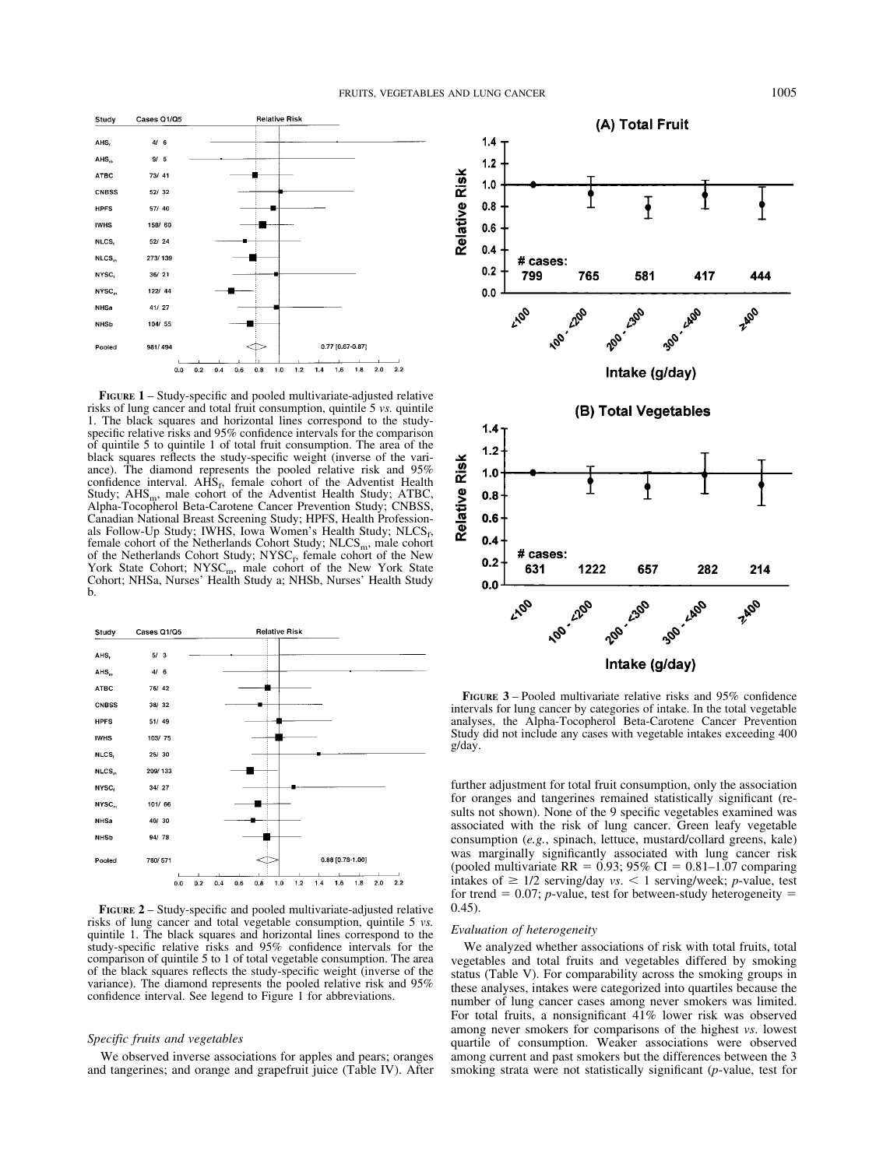

**FIGURE 1** – Study-specific and pooled multivariate-adjusted relative risks of lung cancer and total fruit consumption, quintile 5 *vs.* quintile 1. The black squares and horizontal lines correspond to the studyspecific relative risks and 95% confidence intervals for the comparison of quintile 5 to quintile 1 of total fruit consumption. The area of the black squares reflects the study-specific weight (inverse of the variance). The diamond represents the pooled relative risk and 95% confidence interval.  $AHS_f$ , female cohort of the Adventist Health Study;  $AHS_{m}$ , male cohort of the Adventist Health Study; ATBC, Alpha-Tocopherol Beta-Carotene Cancer Prevention Study; CNBSS, Canadian National Breast Screening Study; HPFS, Health Professionals Follow-Up Study; IWHS, Iowa Women's Health Study;  $NLCS<sub>f</sub>$ , female cohort of the Netherlands Cohort Study;  $NLCS<sub>m</sub>$ , male cohort of the Netherlands Cohort Study;  $NYSC_f$ , female cohort of the New York State Cohort; NYSC<sub>m</sub>, male cohort of the New York State<br>Cohort; NHSa, Nurses' Health Study a; NHSb, Nurses' Health Study b.



**FIGURE 2** – Study-specific and pooled multivariate-adjusted relative risks of lung cancer and total vegetable consumption, quintile 5 *vs.* quintile 1. The black squares and horizontal lines correspond to the study-specific relative risks and 95% confidence intervals for the comparison of quintile 5 to 1 of total vegetable consumption. The area of the black squares reflects the study-specific weight (inverse of the variance). The diamond represents the pooled relative risk and 95% confidence interval. See legend to Figure 1 for abbreviations.

# *Specific fruits and vegetables*

We observed inverse associations for apples and pears; oranges and tangerines; and orange and grapefruit juice (Table IV). After



**FIGURE 3** – Pooled multivariate relative risks and 95% confidence intervals for lung cancer by categories of intake. In the total vegetable analyses, the Alpha-Tocopherol Beta-Carotene Cancer Prevention Study did not include any cases with vegetable intakes exceeding 400 g/day.

further adjustment for total fruit consumption, only the association for oranges and tangerines remained statistically significant (results not shown). None of the 9 specific vegetables examined was associated with the risk of lung cancer. Green leafy vegetable consumption (*e.g.*, spinach, lettuce, mustard/collard greens, kale) was marginally significantly associated with lung cancer risk (pooled multivariate  $RR = 0.93$ ; 95% CI = 0.81-1.07 comparing intakes of  $\geq$  1/2 serving/day *vs*.  $\lt$  1 serving/week; *p*-value, test for trend  $= 0.07$ ; *p*-value, test for between-study heterogeneity  $=$ 0.45).

#### *Evaluation of heterogeneity*

We analyzed whether associations of risk with total fruits, total vegetables and total fruits and vegetables differed by smoking status (Table V). For comparability across the smoking groups in these analyses, intakes were categorized into quartiles because the number of lung cancer cases among never smokers was limited. For total fruits, a nonsignificant 41% lower risk was observed among never smokers for comparisons of the highest *vs*. lowest quartile of consumption. Weaker associations were observed among current and past smokers but the differences between the 3 smoking strata were not statistically significant (*p*-value, test for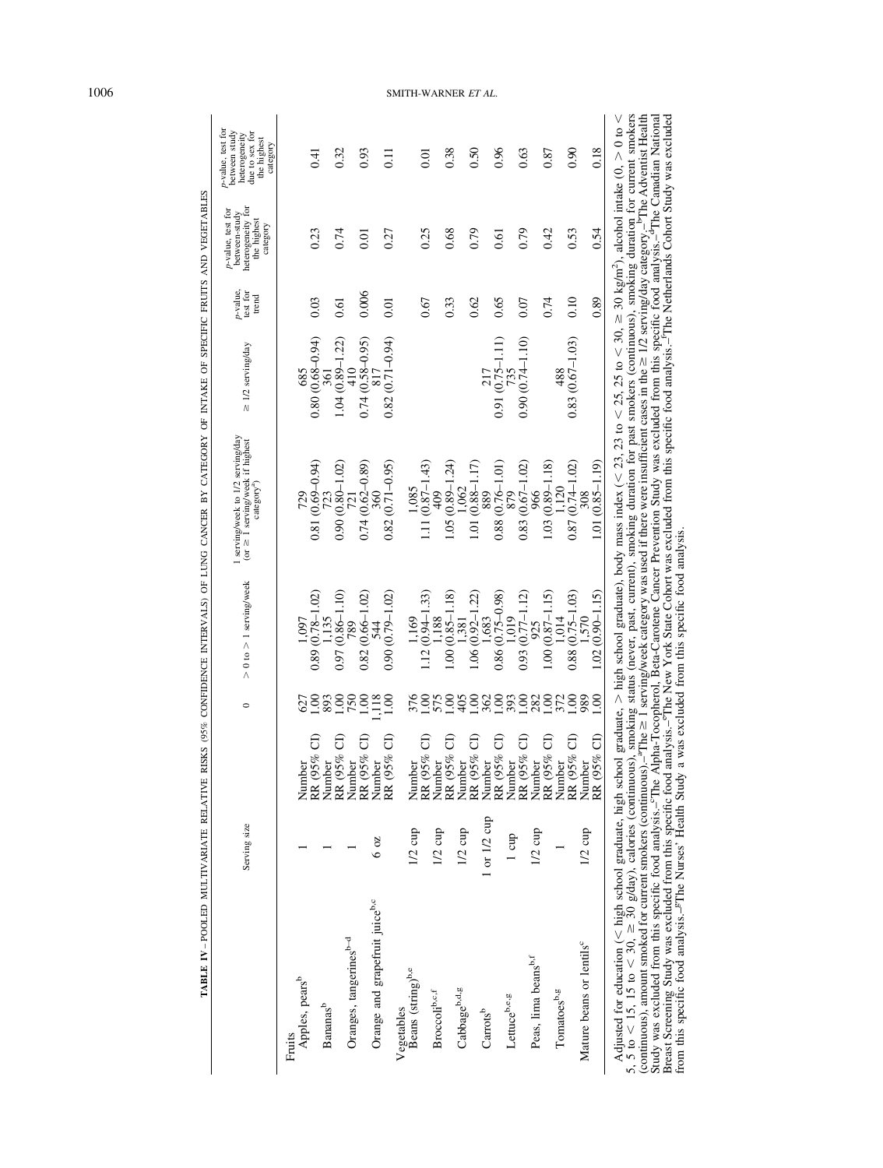| $0.80(0.68 - 0.94)$<br>$\begin{array}{c}\n 361 \\ 1.04 (0.89-1.22) \\ 410 \\ 410\n\end{array}$<br>685<br>$0.81(0.69 - 0.94)$<br>$723$<br>$0.90(0.80-1.02)$ | 0.03                                                                                                                                                                            |                      | category     |
|------------------------------------------------------------------------------------------------------------------------------------------------------------|---------------------------------------------------------------------------------------------------------------------------------------------------------------------------------|----------------------|--------------|
|                                                                                                                                                            |                                                                                                                                                                                 |                      |              |
|                                                                                                                                                            |                                                                                                                                                                                 | 0.23                 | 0.41         |
|                                                                                                                                                            |                                                                                                                                                                                 |                      |              |
|                                                                                                                                                            | 0.61                                                                                                                                                                            | 0.74                 | 0.32         |
| $0.74(0.58-0.95)$<br>817<br>$0.74(0.62 - 0.89)$                                                                                                            | 0.006                                                                                                                                                                           | 0.01                 | 0.93         |
| $0.82(0.71 - 0.94)$<br>$0.82(0.71 - 0.95)$                                                                                                                 | 0.01                                                                                                                                                                            | 0.27                 | $\Xi$        |
|                                                                                                                                                            |                                                                                                                                                                                 |                      |              |
| $1.11(0.87 - 1.43)$<br>1,085                                                                                                                               | 0.67                                                                                                                                                                            | 0.25                 | 0.01         |
|                                                                                                                                                            |                                                                                                                                                                                 |                      |              |
| $1.05(0.89 - 1.24)$<br>1,062                                                                                                                               | 0.33                                                                                                                                                                            | 0.68                 | 0.38         |
| 1.01 (0.88-1.17)                                                                                                                                           | 0.62                                                                                                                                                                            | 0.79                 | 0.50         |
|                                                                                                                                                            |                                                                                                                                                                                 |                      |              |
|                                                                                                                                                            | 0.65                                                                                                                                                                            | 0.61                 | 0.96         |
|                                                                                                                                                            |                                                                                                                                                                                 |                      |              |
|                                                                                                                                                            |                                                                                                                                                                                 |                      | 0.63         |
|                                                                                                                                                            |                                                                                                                                                                                 | 0.42                 | 0.87         |
| 488                                                                                                                                                        |                                                                                                                                                                                 |                      |              |
|                                                                                                                                                            |                                                                                                                                                                                 |                      | 0.90         |
| 1.01 (0.85-1.19)                                                                                                                                           |                                                                                                                                                                                 | 0.54                 | 0.18         |
|                                                                                                                                                            | $0.83(0.67 - 1.03)$<br>$0.91(0.75 - 1.11)$<br>$0.90(0.74 - 1.10)$<br>$0.88(0.76 - 1.01)$<br>1.03 (0.89-1.18)<br>$0.87(0.74-1.02)$<br>$0.83(0.67 - 1.02)$<br>1.120<br>889<br>308 | 0.10<br>0.07<br>0.74 | 0.79<br>0.53 |

1006 SMITH-WARNER *ET AL* .

**TABLE IV** – POOLED MULTIVARIATE RELATIVE RISKS (95% CONFIDENCE INTERVALS) OF LUNG CANCER BY CATEGORY OF INTAKE OF SPECIFIC FRUITS AND VEGETABLES

TABLE IV-POOLED MULTIVARIATE RELATIVE RISKS (95% CONFIDENCE INTERVALS) OF LUNG CANCER BY CATEGORY OF INTAKE OF SPECIFIC FRUITS AND VEGETABLES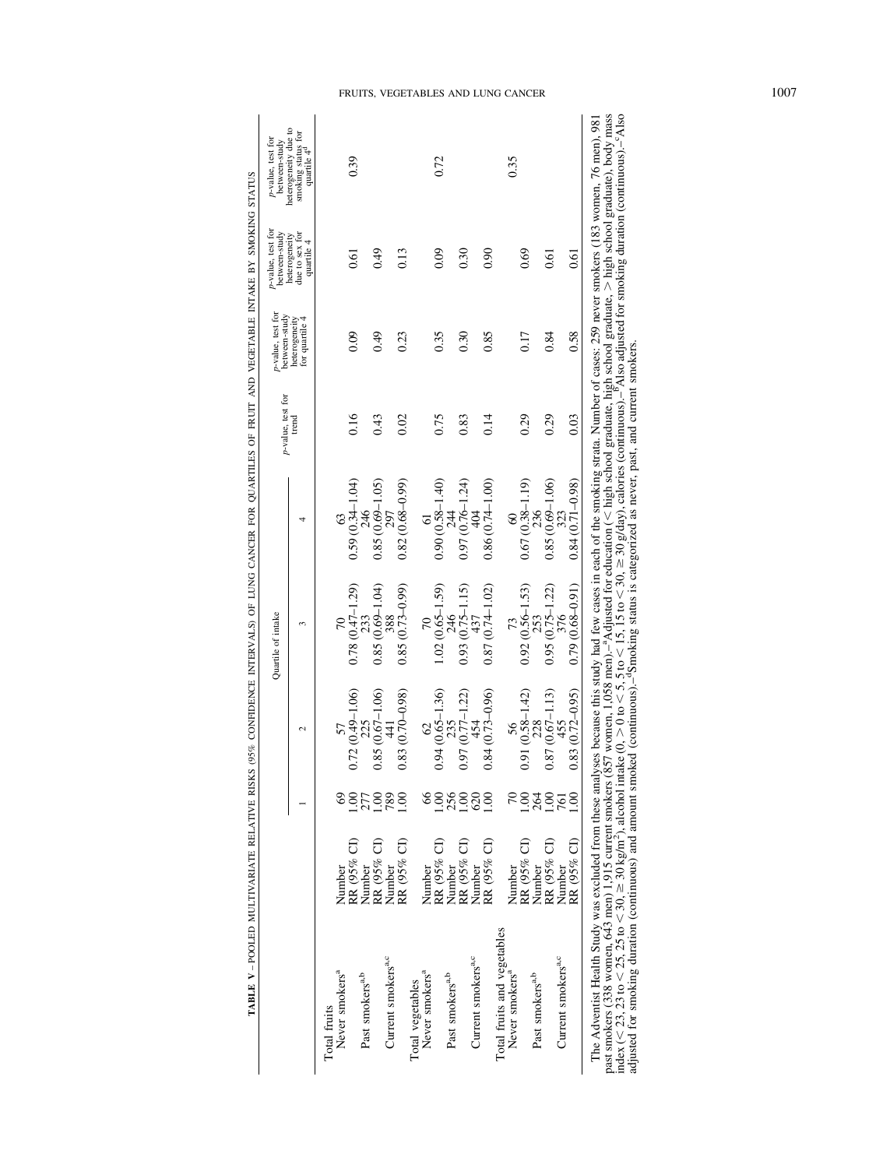|                                |                       |                  |                     | Quartile of intake  |                     | p-value, test for | p-value, test for<br>between-study | p-value, test for<br>between-study            | p-value, test for<br>between-study                                    |
|--------------------------------|-----------------------|------------------|---------------------|---------------------|---------------------|-------------------|------------------------------------|-----------------------------------------------|-----------------------------------------------------------------------|
|                                |                       |                  | $\mathcal{L}$       | 3                   | 4                   | trend             | for quartile 4<br>heterogeneity    | due to sex for<br>heterogeneity<br>quartile 4 | heterogeneity due to<br>smoking status for<br>quartile 4 <sup>d</sup> |
| Total fruits                   |                       |                  |                     |                     |                     |                   |                                    |                                               |                                                                       |
| Never smokers <sup>a</sup>     | Number                |                  |                     |                     |                     |                   |                                    |                                               |                                                                       |
|                                | RR (95% CI)           | 00.1             | $0.72(0.49 - 1.06)$ | $0.78(0.47 - 1.29)$ | $0.59(0.34-1.04)$   | 0.16              | 0.09                               | 0.61                                          | 0.39                                                                  |
| Past smokers <sup>a,b</sup>    | Number                |                  |                     |                     |                     |                   |                                    |                                               |                                                                       |
|                                | RR (95% CI)           | $\frac{8}{10}$   | $0.85(0.67 - 1.06)$ | $0.85(0.69 - 1.04)$ | $0.85(0.69 - 1.05)$ | 0.43              | 0.49                               | 64.0                                          |                                                                       |
| Current smokers <sup>a,c</sup> | Number                | 789              | $\frac{4}{4}$       | 388                 | 797                 |                   |                                    |                                               |                                                                       |
|                                | RR (95% CI)           | 00.1             | $0.83(0.70 - 0.98)$ | $0.85(0.73-0.99)$   | $0.82(0.68 - 0.99)$ | 0.02              | 0.23                               | 0.13                                          |                                                                       |
| Total vegetables               |                       |                  |                     |                     |                     |                   |                                    |                                               |                                                                       |
| Never smokers <sup>a</sup>     |                       |                  |                     |                     |                     |                   |                                    |                                               |                                                                       |
|                                | Number<br>RR (95% CI) | 00.1             | $0.94(0.65 - 1.36)$ | $1.02(0.65 - 1.59)$ | $0.90(0.58 - 1.40)$ | 0.75              | 0.35                               | 0.09                                          | 0.72                                                                  |
| Past smokers <sup>a,b</sup>    | Number                | 256              | 235                 |                     |                     |                   |                                    |                                               |                                                                       |
|                                | RR (95% CI)           | $\frac{8}{100}$  | $0.97(0.77 - 1.22)$ | $0.93(0.75 - 1.15)$ | $0.97(0.76 - 1.24)$ | 0.83              | 0.30                               | 0.30                                          |                                                                       |
| Current smokers <sup>a,c</sup> | Number                | 620              | 454                 | 437                 |                     |                   |                                    |                                               |                                                                       |
|                                | RR (95% CI)           | $\frac{8}{1}$    | $0.84(0.73 - 0.96)$ | $0.87(0.74 - 1.02)$ | $0.86(0.74-1.00)$   | 0.14              | 0.85                               | 0.90                                          |                                                                       |
| Total fruits and vegetables    |                       |                  |                     |                     |                     |                   |                                    |                                               |                                                                       |
| Never smokers <sup>a</sup>     | Number                |                  |                     |                     |                     |                   |                                    |                                               | 0.35                                                                  |
|                                | RR (95% CI)           | $\frac{8}{1}$    | $0.91(0.58 - 1.42)$ | $0.92(0.56 - 1.53)$ | $0.67(0.38 - 1.19)$ | 0.29              | 0.17                               | 0.69                                          |                                                                       |
| Past smokers <sup>a,b</sup>    | Number                | 264              |                     |                     |                     |                   |                                    |                                               |                                                                       |
|                                | RR (95% CI)           | $\frac{00}{100}$ | $0.87(0.67 - 1.13)$ | $0.95(0.75 - 1.22)$ | $0.85(0.69 - 1.06)$ | 0.29              | 0.84                               | 0.61                                          |                                                                       |
| Current smokers <sup>a,c</sup> | Number                | 761              | 455                 | 376                 | 373                 |                   |                                    |                                               |                                                                       |
|                                | RR (95% CI)           | $\frac{8}{10}$   | $0.83(0.72 - 0.95)$ | $0.79(0.68 - 0.91)$ | $0.84(0.71 - 0.98)$ | 0.03              | 0.58                               | 0.61                                          |                                                                       |

TABLE V-POOLED MULTIVARIATE RELATIVE RISKS (95% CONFIDENCE INTERVALS) OF LUNG CANCER FOR QUARTILES OF FRUIT AND VEGETABLE INTAKE BY SMOKING STATUS **TABLE V** – POOLED MULTIVARIATE RELATIVE RISKS (95% CONFIDENCE INTERVALS) OF LUNG CANCER FOR QUARTILES OF FRUIT AND VEGETABLE INTAKE BY SMOKING STATUS

# FRUITS, VEGETABLES AND LUNG CANCER 1007

index (< 23, 23 to < 30,  $\geq$  30 kg/m<sup>2</sup>), alcohol intake (0,  $>$  0 to < 5, 5 to < 15, 15 to < 30,  $\geq$  30 g/day), calories (continuous).– $^{\circ}$ Also adjusted for smoking duration (continuous).–cAlso past smokers (338 women, 643 men) 1,915 current smokers (857 women, 1,058 men).<sup>2</sup>Adjusted for education (< high school graduate, high school graduate, > high school graduate), body index (< 23, 23 to < 30, ≥ 30 kg/m<sup>2</sup>), adjusted for smoking duration (continuous) and amount smoked (continuous).–dSmoking status is categorized as never, past, and current smokers.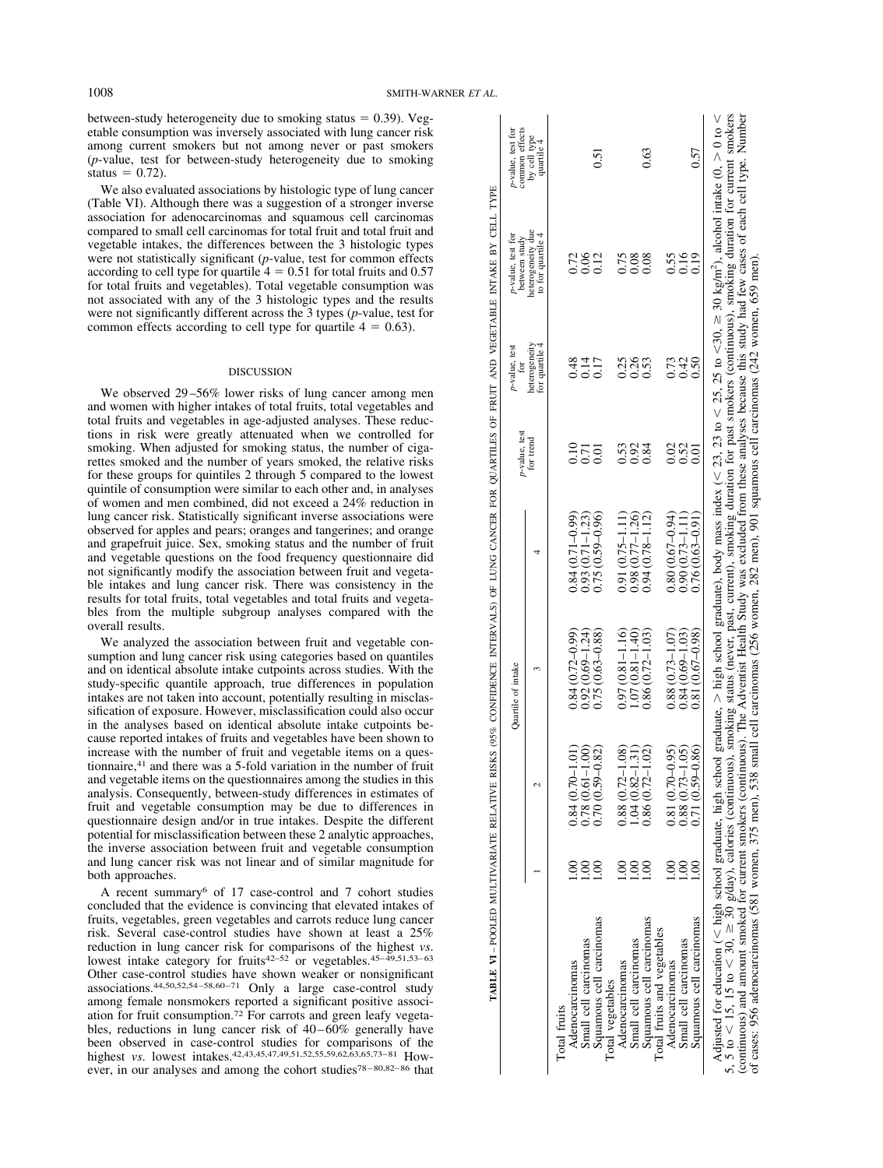between-study heterogeneity due to smoking status  $= 0.39$ ). Vegetable consumption was inversely associated with lung cancer risk among current smokers but not among never or past smokers (*p*-value, test for between-study heterogeneity due to smoking status  $= 0.72$ ).

We also evaluated associations by histologic type of lung cancer (Table VI). Although there was a suggestion of a stronger inverse association for adenocarcinomas and squamous cell carcinomas compared to small cell carcinomas for total fruit and total fruit and vegetable intakes, the differences between the 3 histologic types were not statistically significant (*p*-value, test for common effects according to cell type for quartile  $4 = 0.51$  for total fruits and 0.57 for total fruits and vegetables). Total vegetable consumption was not associated with any of the 3 histologic types and the results were not significantly different across the 3 types (*p*-value, test for common effects according to cell type for quartile  $4 = 0.63$ ).

#### **DISCUSSION**

We observed 29–56% lower risks of lung cancer among men and women with higher intakes of total fruits, total vegetables and total fruits and vegetables in age-adjusted analyses. These reductions in risk were greatly attenuated when we controlled for smoking. When adjusted for smoking status, the number of cigarettes smoked and the number of years smoked, the relative risks for these groups for quintiles 2 through 5 compared to the lowest quintile of consumption were similar to each other and, in analyses of women and men combined, did not exceed a 24% reduction in lung cancer risk. Statistically significant inverse associations were observed for apples and pears; oranges and tangerines; and orange and grapefruit juice. Sex, smoking status and the number of fruit and vegetable questions on the food frequency questionnaire did not significantly modify the association between fruit and vegetable intakes and lung cancer risk. There was consistency in the results for total fruits, total vegetables and total fruits and vegetables from the multiple subgroup analyses compared with the overall results.

We analyzed the association between fruit and vegetable consumption and lung cancer risk using categories based on quantiles and on identical absolute intake cutpoints across studies. With the study-specific quantile approach, true differences in population intakes are not taken into account, potentially resulting in misclassification of exposure. However, misclassification could also occur in the analyses based on identical absolute intake cutpoints because reported intakes of fruits and vegetables have been shown to increase with the number of fruit and vegetable items on a questionnaire,41 and there was a 5-fold variation in the number of fruit and vegetable items on the questionnaires among the studies in this analysis. Consequently, between-study differences in estimates of fruit and vegetable consumption may be due to differences in questionnaire design and/or in true intakes. Despite the different potential for misclassification between these 2 analytic approaches, the inverse association between fruit and vegetable consumption and lung cancer risk was not linear and of similar magnitude for both approaches.

A recent summary6 of 17 case-control and 7 cohort studies concluded that the evidence is convincing that elevated intakes of fruits, vegetables, green vegetables and carrots reduce lung cancer risk. Several case-control studies have shown at least a 25% reduction in lung cancer risk for comparisons of the highest *vs*. lowest intake category for fruits<sup>42–52</sup> or vegetables.<sup>45–49,51,53–63</sup> Other case-control studies have shown weaker or nonsignificant associations.44,50,52,54 –58,60 –71 Only a large case-control study among female nonsmokers reported a significant positive association for fruit consumption.72 For carrots and green leafy vegetables, reductions in lung cancer risk of  $40-60\%$  generally have been observed in case-control studies for comparisons of the highest *vs*. lowest intakes.<sup>42,43,45,47,49,51,52,55,59,62,63,65,73–81 How-</sup> ever, in our analyses and among the cohort studies<sup>78-80,82-86</sup> that

| by cell type<br>quartile 4<br>0.57<br>0.63<br>0.51<br>heterogeneity due<br>to for quartile 4<br>0.55<br>0.16<br>0.19<br>$\begin{array}{c} 0.72 \\ 0.06 \end{array}$<br>0.12<br>$\begin{array}{c} 0.75 \\ 0.08 \end{array}$<br>0.08<br>heterogeneity<br>for quartile 4<br>0.35<br>0.73<br>0.42<br>0.48<br>0.17<br>0.50<br>0.25<br>for trend<br>0.02<br>0.52<br>0.10<br>0.53<br>0.92<br>0.84<br>0.01<br>0.71<br>$\overline{0.01}$<br>$0.84(0.71 - 0.99)$<br>$0.93(0.71 - 1.23)$<br>0.75 (0.59 – 0.96)<br>$0.80(0.67-0.94)$<br>$0.98$ (0.77-1.26)<br>0.94 (0.78-1.12)<br>$0.91(0.75 - 1.11)$<br>$0.76(0.63 - 0.91)$<br>$0.90(0.73 - 1.11)$<br>$0.84(0.72 - 0.99)$<br>$0.81(0.67-0.98)$<br>$0.88(0.73 - 1.07)$<br>$0.92(0.69 - 1.24)$<br>0.75 (0.63-0.88)<br>$0.97(0.81 - 1.16)$<br>$(0.07(0.81 - 1.40))$<br>$0.86(0.72 - 1.03)$<br>$0.84(0.69 - 1.03)$<br>$0.71(0.59 - 0.86)$<br>$0.78$ ( $0.61 - 1.00$ )<br>0.70 ( $0.59 - 0.82$ )<br>$1.04(0.82 - 1.31)$<br>0.86 (0.72-1.02)<br>$0.88(0.72 - 1.08)$<br>$0.81(0.70 - 0.95)$<br>$0.88(0.73 - 1.05)$<br>$0.84(0.70 - 1.01)$<br>$\frac{8}{1}$<br>$\frac{8}{1}$<br><u>ខ</u><br>S<br><u>ទ</u><br>S.<br>.<br>$\overline{0}$<br>Squamous cell carcinomas<br>Squamous cell carcinomas<br>Squamous cell carcinomas<br>Total fruits and vegetables<br>Small cell carcinomas<br>Small cell carcinomas<br>Small cell carcinomas<br>Adenocarcinomas<br>Adenocarcinomas<br>Adenocarcinomas<br>Total vegetables<br>Total fruits |                                                                                                                                                       |  | Quartile of intake | p-value, test | p-value, test<br>for | p-value, test for<br>between study | p-value, test for<br>common effects |
|----------------------------------------------------------------------------------------------------------------------------------------------------------------------------------------------------------------------------------------------------------------------------------------------------------------------------------------------------------------------------------------------------------------------------------------------------------------------------------------------------------------------------------------------------------------------------------------------------------------------------------------------------------------------------------------------------------------------------------------------------------------------------------------------------------------------------------------------------------------------------------------------------------------------------------------------------------------------------------------------------------------------------------------------------------------------------------------------------------------------------------------------------------------------------------------------------------------------------------------------------------------------------------------------------------------------------------------------------------------------------------------------------------------------------------------------------------------|-------------------------------------------------------------------------------------------------------------------------------------------------------|--|--------------------|---------------|----------------------|------------------------------------|-------------------------------------|
|                                                                                                                                                                                                                                                                                                                                                                                                                                                                                                                                                                                                                                                                                                                                                                                                                                                                                                                                                                                                                                                                                                                                                                                                                                                                                                                                                                                                                                                                |                                                                                                                                                       |  |                    |               |                      |                                    |                                     |
|                                                                                                                                                                                                                                                                                                                                                                                                                                                                                                                                                                                                                                                                                                                                                                                                                                                                                                                                                                                                                                                                                                                                                                                                                                                                                                                                                                                                                                                                |                                                                                                                                                       |  |                    |               |                      |                                    |                                     |
|                                                                                                                                                                                                                                                                                                                                                                                                                                                                                                                                                                                                                                                                                                                                                                                                                                                                                                                                                                                                                                                                                                                                                                                                                                                                                                                                                                                                                                                                |                                                                                                                                                       |  |                    |               |                      |                                    |                                     |
|                                                                                                                                                                                                                                                                                                                                                                                                                                                                                                                                                                                                                                                                                                                                                                                                                                                                                                                                                                                                                                                                                                                                                                                                                                                                                                                                                                                                                                                                |                                                                                                                                                       |  |                    |               |                      |                                    |                                     |
|                                                                                                                                                                                                                                                                                                                                                                                                                                                                                                                                                                                                                                                                                                                                                                                                                                                                                                                                                                                                                                                                                                                                                                                                                                                                                                                                                                                                                                                                |                                                                                                                                                       |  |                    |               |                      |                                    |                                     |
|                                                                                                                                                                                                                                                                                                                                                                                                                                                                                                                                                                                                                                                                                                                                                                                                                                                                                                                                                                                                                                                                                                                                                                                                                                                                                                                                                                                                                                                                |                                                                                                                                                       |  |                    |               |                      |                                    |                                     |
|                                                                                                                                                                                                                                                                                                                                                                                                                                                                                                                                                                                                                                                                                                                                                                                                                                                                                                                                                                                                                                                                                                                                                                                                                                                                                                                                                                                                                                                                |                                                                                                                                                       |  |                    |               |                      |                                    |                                     |
|                                                                                                                                                                                                                                                                                                                                                                                                                                                                                                                                                                                                                                                                                                                                                                                                                                                                                                                                                                                                                                                                                                                                                                                                                                                                                                                                                                                                                                                                |                                                                                                                                                       |  |                    |               |                      |                                    |                                     |
|                                                                                                                                                                                                                                                                                                                                                                                                                                                                                                                                                                                                                                                                                                                                                                                                                                                                                                                                                                                                                                                                                                                                                                                                                                                                                                                                                                                                                                                                |                                                                                                                                                       |  |                    |               |                      |                                    |                                     |
|                                                                                                                                                                                                                                                                                                                                                                                                                                                                                                                                                                                                                                                                                                                                                                                                                                                                                                                                                                                                                                                                                                                                                                                                                                                                                                                                                                                                                                                                |                                                                                                                                                       |  |                    |               |                      |                                    |                                     |
|                                                                                                                                                                                                                                                                                                                                                                                                                                                                                                                                                                                                                                                                                                                                                                                                                                                                                                                                                                                                                                                                                                                                                                                                                                                                                                                                                                                                                                                                |                                                                                                                                                       |  |                    |               |                      |                                    |                                     |
|                                                                                                                                                                                                                                                                                                                                                                                                                                                                                                                                                                                                                                                                                                                                                                                                                                                                                                                                                                                                                                                                                                                                                                                                                                                                                                                                                                                                                                                                |                                                                                                                                                       |  |                    |               |                      |                                    |                                     |
|                                                                                                                                                                                                                                                                                                                                                                                                                                                                                                                                                                                                                                                                                                                                                                                                                                                                                                                                                                                                                                                                                                                                                                                                                                                                                                                                                                                                                                                                |                                                                                                                                                       |  |                    |               |                      |                                    |                                     |
|                                                                                                                                                                                                                                                                                                                                                                                                                                                                                                                                                                                                                                                                                                                                                                                                                                                                                                                                                                                                                                                                                                                                                                                                                                                                                                                                                                                                                                                                |                                                                                                                                                       |  |                    |               |                      |                                    |                                     |
| Adjusted for education (< high school graduate, high school graduate, > high school graduate), body mass index (< 23, 23 to < 25, 25 to <30, ≥ 30 kg/m <sup>2</sup> ), alcohol intake (0, > 0 to < 5, 5 to < 30, ≥ 30 g/day), calories (                                                                                                                                                                                                                                                                                                                                                                                                                                                                                                                                                                                                                                                                                                                                                                                                                                                                                                                                                                                                                                                                                                                                                                                                                       |                                                                                                                                                       |  |                    |               |                      |                                    |                                     |
| (continuous) and amount smoked for current smokers (continuous). The Adventist Health Study was excluded from these analyses because this study had few cases of each cell type. Number                                                                                                                                                                                                                                                                                                                                                                                                                                                                                                                                                                                                                                                                                                                                                                                                                                                                                                                                                                                                                                                                                                                                                                                                                                                                        | of cases: 956 adenocarcinomas (581 women, 375 men), 538 small cell carcinomas (256 women, 282 men), 901 squamous cell carcinomas (242 women, 659 men) |  |                    |               |                      |                                    |                                     |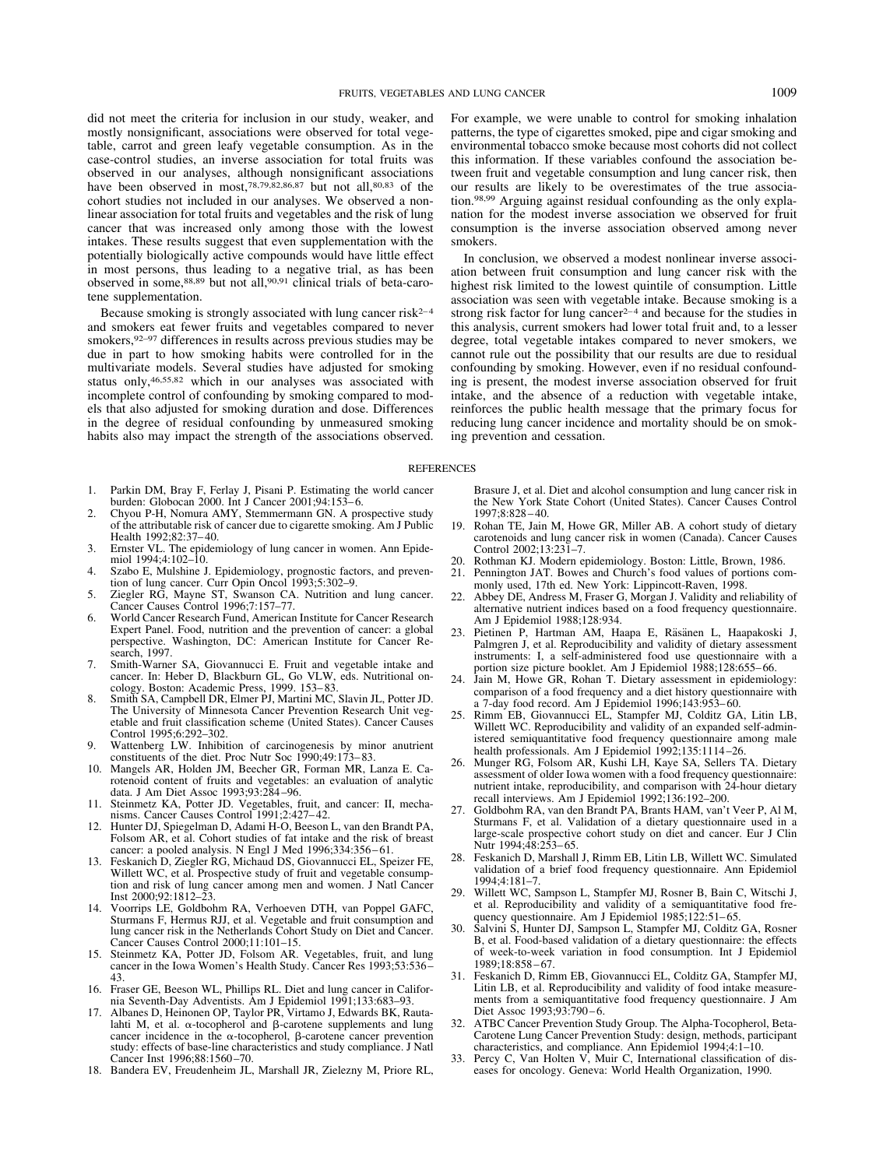mostly nonsignificant, associations were observed for total vegetable, carrot and green leafy vegetable consumption. As in the case-control studies, an inverse association for total fruits was observed in our analyses, although nonsignificant associations have been observed in most,<sup>78,79,82,86,87</sup> but not all,<sup>80,83</sup> of the cohort studies not included in our analyses. We observed a nonlinear association for total fruits and vegetables and the risk of lung cancer that was increased only among those with the lowest intakes. These results suggest that even supplementation with the potentially biologically active compounds would have little effect in most persons, thus leading to a negative trial, as has been observed in some,88,89 but not all,90,91 clinical trials of beta-carotene supplementation.

Because smoking is strongly associated with lung cancer  $risk^{2-4}$ and smokers eat fewer fruits and vegetables compared to never smokers,  $92-97$  differences in results across previous studies may be due in part to how smoking habits were controlled for in the multivariate models. Several studies have adjusted for smoking status only,46,55,82 which in our analyses was associated with incomplete control of confounding by smoking compared to models that also adjusted for smoking duration and dose. Differences in the degree of residual confounding by unmeasured smoking habits also may impact the strength of the associations observed.

- 1. Parkin DM, Bray F, Ferlay J, Pisani P. Estimating the world cancer burden: Globocan 2000. Int J Cancer 2001;94:153-6.
- 2. Chyou P-H, Nomura AMY, Stemmermann GN. A prospective study of the attributable risk of cancer due to cigarette smoking. Am J Public Health 1992;82:37– 40.
- 3. Ernster VL. The epidemiology of lung cancer in women. Ann Epidemiol 1994;4:102–10.
- 4. Szabo E, Mulshine J. Epidemiology, prognostic factors, and prevention of lung cancer. Curr Opin Oncol 1993;5:302–9.
- 5. Ziegler RG, Mayne ST, Swanson CA. Nutrition and lung cancer. Cancer Causes Control 1996;7:157–77.
- 6. World Cancer Research Fund, American Institute for Cancer Research Expert Panel. Food, nutrition and the prevention of cancer: a global perspective. Washington, DC: American Institute for Cancer Research, 1997.
- 7. Smith-Warner SA, Giovannucci E. Fruit and vegetable intake and cancer. In: Heber D, Blackburn GL, Go VLW, eds. Nutritional oncology. Boston: Academic Press, 1999. 153– 83.
- 8. Smith SA, Campbell DR, Elmer PJ, Martini MC, Slavin JL, Potter JD. The University of Minnesota Cancer Prevention Research Unit vegetable and fruit classification scheme (United States). Cancer Causes Control 1995;6:292–302.
- 9. Wattenberg LW. Inhibition of carcinogenesis by minor anutrient constituents of the diet. Proc Nutr Soc 1990;49:173– 83.
- 10. Mangels AR, Holden JM, Beecher GR, Forman MR, Lanza E. Carotenoid content of fruits and vegetables: an evaluation of analytic data. J Am Diet Assoc 1993;93:284 –96.
- 11. Steinmetz KA, Potter JD. Vegetables, fruit, and cancer: II, mechanisms. Cancer Causes Control 1991;2:427– 42.
- 12. Hunter DJ, Spiegelman D, Adami H-O, Beeson L, van den Brandt PA, Folsom AR, et al. Cohort studies of fat intake and the risk of breast cancer: a pooled analysis. N Engl J Med 1996;334:356-61.
- 13. Feskanich D, Ziegler RG, Michaud DS, Giovannucci EL, Speizer FE, Willett WC, et al. Prospective study of fruit and vegetable consumption and risk of lung cancer among men and women. J Natl Cancer Inst 2000;92:1812–23.
- 14. Voorrips LE, Goldbohm RA, Verhoeven DTH, van Poppel GAFC, Sturmans F, Hermus RJJ, et al. Vegetable and fruit consumption and lung cancer risk in the Netherlands Cohort Study on Diet and Cancer. Cancer Causes Control 2000;11:101–15.
- 15. Steinmetz KA, Potter JD, Folsom AR. Vegetables, fruit, and lung cancer in the Iowa Women's Health Study. Cancer Res 1993;53:536 – 43.
- 16. Fraser GE, Beeson WL, Phillips RL. Diet and lung cancer in California Seventh-Day Adventists. Am J Epidemiol 1991;133:683–93.
- 17. Albanes D, Heinonen OP, Taylor PR, Virtamo J, Edwards BK, Rautalahti M, et al.  $\alpha$ -tocopherol and  $\beta$ -carotene supplements and lung cancer incidence in the  $\alpha$ -tocopherol,  $\beta$ -carotene cancer prevention study: effects of base-line characteristics and study compliance. J Natl Cancer Inst 1996;88:1560 –70.
- 18. Bandera EV, Freudenheim JL, Marshall JR, Zielezny M, Priore RL,

For example, we were unable to control for smoking inhalation patterns, the type of cigarettes smoked, pipe and cigar smoking and environmental tobacco smoke because most cohorts did not collect this information. If these variables confound the association between fruit and vegetable consumption and lung cancer risk, then our results are likely to be overestimates of the true association.98,99 Arguing against residual confounding as the only explanation for the modest inverse association we observed for fruit consumption is the inverse association observed among never smokers.

In conclusion, we observed a modest nonlinear inverse association between fruit consumption and lung cancer risk with the highest risk limited to the lowest quintile of consumption. Little association was seen with vegetable intake. Because smoking is a strong risk factor for lung cancer<sup>2-4</sup> and because for the studies in this analysis, current smokers had lower total fruit and, to a lesser degree, total vegetable intakes compared to never smokers, we cannot rule out the possibility that our results are due to residual confounding by smoking. However, even if no residual confounding is present, the modest inverse association observed for fruit intake, and the absence of a reduction with vegetable intake, reinforces the public health message that the primary focus for reducing lung cancer incidence and mortality should be on smoking prevention and cessation.

#### **REFERENCES**

Brasure J, et al. Diet and alcohol consumption and lung cancer risk in the New York State Cohort (United States). Cancer Causes Control 1997;8:828 – 40.

- 19. Rohan TE, Jain M, Howe GR, Miller AB. A cohort study of dietary carotenoids and lung cancer risk in women (Canada). Cancer Causes Control 2002;13:231–7.
- 20. Rothman KJ. Modern epidemiology. Boston: Little, Brown, 1986.
- 21. Pennington JAT. Bowes and Church's food values of portions commonly used, 17th ed. New York: Lippincott-Raven, 1998.
- 22. Abbey DE, Andress M, Fraser G, Morgan J. Validity and reliability of alternative nutrient indices based on a food frequency questionnaire. Am J Epidemiol 1988;128:934.
- 23. Pietinen P, Hartman AM, Haapa E, Räsänen L, Haapakoski J, Palmgren J, et al. Reproducibility and validity of dietary assessment instruments: I, a self-administered food use questionnaire with a portion size picture booklet. Am J Epidemiol 1988;128:655-66.
- 24. Jain M, Howe GR, Rohan T. Dietary assessment in epidemiology: comparison of a food frequency and a diet history questionnaire with a 7-day food record. Am J Epidemiol 1996;143:953– 60.
- 25. Rimm EB, Giovannucci EL, Stampfer MJ, Colditz GA, Litin LB, Willett WC. Reproducibility and validity of an expanded self-administered semiquantitative food frequency questionnaire among male health professionals. Am J Epidemiol 1992;135:1114-26.
- 26. Munger RG, Folsom AR, Kushi LH, Kaye SA, Sellers TA. Dietary assessment of older Iowa women with a food frequency questionnaire: nutrient intake, reproducibility, and comparison with 24-hour dietary recall interviews. Am J Epidemiol 1992;136:192–200.
- 27. Goldbohm RA, van den Brandt PA, Brants HAM, van't Veer P, Al M, Sturmans F, et al. Validation of a dietary questionnaire used in a large-scale prospective cohort study on diet and cancer. Eur J Clin Nutr 1994;48:253– 65.
- 28. Feskanich D, Marshall J, Rimm EB, Litin LB, Willett WC. Simulated validation of a brief food frequency questionnaire. Ann Epidemiol 1994;4:181–7.
- 29. Willett WC, Sampson L, Stampfer MJ, Rosner B, Bain C, Witschi J, et al. Reproducibility and validity of a semiquantitative food frequency questionnaire. Am J Epidemiol 1985;122:51-65.
- 30. Salvini S, Hunter DJ, Sampson L, Stampfer MJ, Colditz GA, Rosner B, et al. Food-based validation of a dietary questionnaire: the effects of week-to-week variation in food consumption. Int J Epidemiol 1989;18:858 – 67.
- 31. Feskanich D, Rimm EB, Giovannucci EL, Colditz GA, Stampfer MJ, Litin LB, et al. Reproducibility and validity of food intake measurements from a semiquantitative food frequency questionnaire. J Am Diet Assoc 1993;93:790-6.
- 32. ATBC Cancer Prevention Study Group. The Alpha-Tocopherol, Beta-Carotene Lung Cancer Prevention Study: design, methods, participant characteristics, and compliance. Ann Epidemiol 1994;4:1–10.
- 33. Percy C, Van Holten V, Muir C, International classification of diseases for oncology. Geneva: World Health Organization, 1990.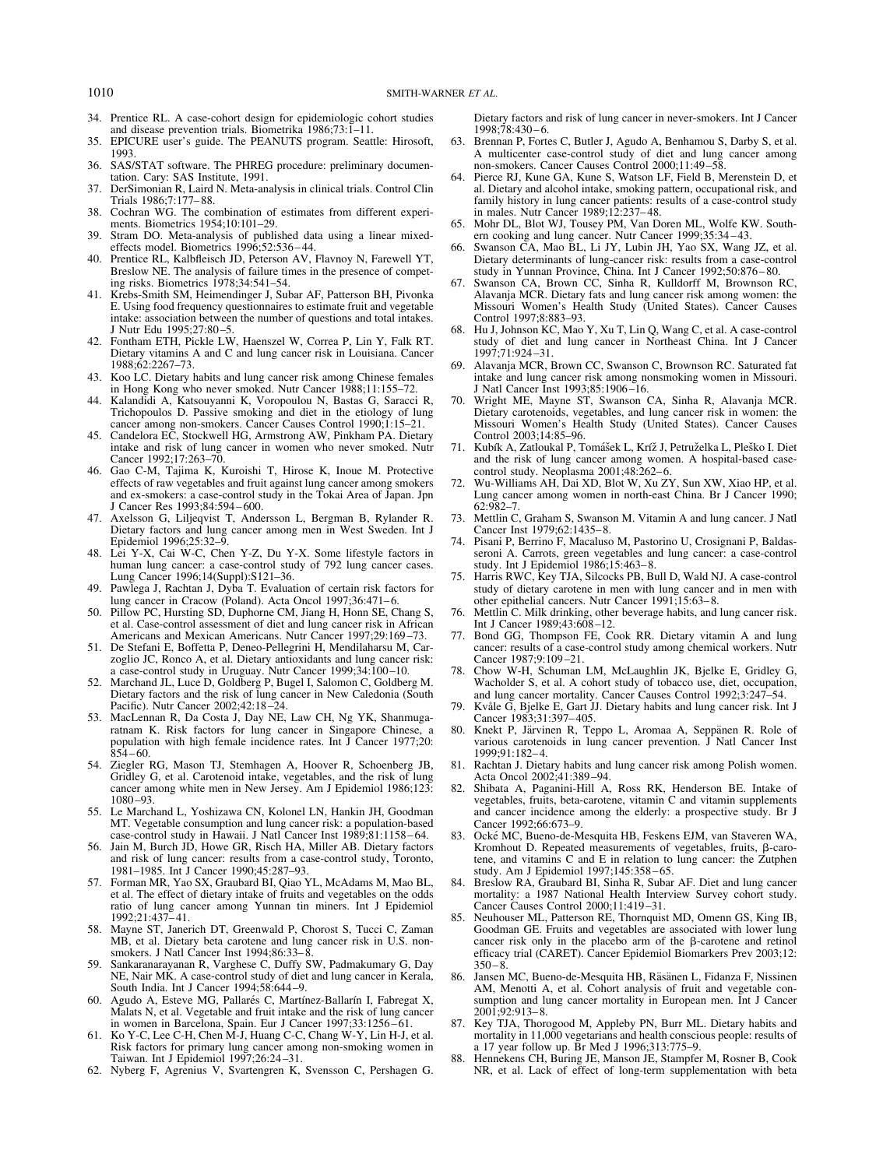- 34. Prentice RL. A case-cohort design for epidemiologic cohort studies and disease prevention trials. Biometrika 1986;73:1–11.
- 35. EPICURE user's guide. The PEANUTS program. Seattle: Hirosoft, 1993.
- 36. SAS/STAT software. The PHREG procedure: preliminary documentation. Cary: SAS Institute, 1991.
- 37. DerSimonian R, Laird N. Meta-analysis in clinical trials. Control Clin Trials 1986;7:177– 88.
- 38. Cochran WG. The combination of estimates from different experiments. Biometrics 1954;10:101–29.
- 39. Stram DO. Meta-analysis of published data using a linear mixedeffects model. Biometrics 1996;52:536 – 44.
- 40. Prentice RL, Kalbfleisch JD, Peterson AV, Flavnoy N, Farewell YT, Breslow NE. The analysis of failure times in the presence of competing risks. Biometrics 1978;34:541–54.
- 41. Krebs-Smith SM, Heimendinger J, Subar AF, Patterson BH, Pivonka E. Using food frequency questionnaires to estimate fruit and vegetable intake: association between the number of questions and total intakes. J Nutr Edu 1995;27:80 –5.
- 42. Fontham ETH, Pickle LW, Haenszel W, Correa P, Lin Y, Falk RT. Dietary vitamins A and C and lung cancer risk in Louisiana. Cancer 1988;62:2267–73.
- 43. Koo LC. Dietary habits and lung cancer risk among Chinese females in Hong Kong who never smoked. Nutr Cancer 1988;11:155–72.
- 44. Kalandidi A, Katsouyanni K, Voropoulou N, Bastas G, Saracci R, Trichopoulos D. Passive smoking and diet in the etiology of lung cancer among non-smokers. Cancer Causes Control 1990;1:15–21.
- 45. Candelora EC, Stockwell HG, Armstrong AW, Pinkham PA. Dietary intake and risk of lung cancer in women who never smoked. Nutr Cancer 1992;17:263–70.
- 46. Gao C-M, Tajima K, Kuroishi T, Hirose K, Inoue M. Protective effects of raw vegetables and fruit against lung cancer among smokers and ex-smokers: a case-control study in the Tokai Area of Japan. Jpn J Cancer Res 1993;84:594 – 600.
- 47. Axelsson G, Liljeqvist T, Andersson L, Bergman B, Rylander R. Dietary factors and lung cancer among men in West Sweden. Int J Epidemiol 1996;25:32–9.
- 48. Lei Y-X, Cai W-C, Chen Y-Z, Du Y-X. Some lifestyle factors in human lung cancer: a case-control study of 792 lung cancer cases. Lung Cancer 1996;14(Suppl):S121–36.
- 49. Pawlega J, Rachtan J, Dyba T. Evaluation of certain risk factors for lung cancer in Cracow (Poland). Acta Oncol 1997;36:471– 6.
- 50. Pillow PC, Hursting SD, Duphorne CM, Jiang H, Honn SE, Chang S, et al. Case-control assessment of diet and lung cancer risk in African Americans and Mexican Americans. Nutr Cancer 1997;29:169 –73.
- 51. De Stefani E, Boffetta P, Deneo-Pellegrini H, Mendilaharsu M, Carzoglio JC, Ronco A, et al. Dietary antioxidants and lung cancer risk: a case-control study in Uruguay. Nutr Cancer 1999;34:100 –10.
- 52. Marchand JL, Luce D, Goldberg P, Bugel I, Salomon C, Goldberg M. Dietary factors and the risk of lung cancer in New Caledonia (South Pacific). Nutr Cancer 2002;42:18 –24.
- 53. MacLennan R, Da Costa J, Day NE, Law CH, Ng YK, Shanmugaratnam K. Risk factors for lung cancer in Singapore Chinese, a population with high female incidence rates. Int J Cancer 1977;20:  $854 - 60.$
- 54. Ziegler RG, Mason TJ, Stemhagen A, Hoover R, Schoenberg JB, Gridley G, et al. Carotenoid intake, vegetables, and the risk of lung cancer among white men in New Jersey. Am J Epidemiol 1986;123: 1080 –93.
- 55. Le Marchand L, Yoshizawa CN, Kolonel LN, Hankin JH, Goodman MT. Vegetable consumption and lung cancer risk: a population-based case-control study in Hawaii. J Natl Cancer Inst 1989;81:1158 – 64.
- 56. Jain M, Burch JD, Howe GR, Risch HA, Miller AB. Dietary factors and risk of lung cancer: results from a case-control study, Toronto, 1981–1985. Int J Cancer 1990;45:287–93.
- 57. Forman MR, Yao SX, Graubard BI, Qiao YL, McAdams M, Mao BL, et al. The effect of dietary intake of fruits and vegetables on the odds ratio of lung cancer among Yunnan tin miners. Int J Epidemiol 1992;21:437– 41.
- 58. Mayne ST, Janerich DT, Greenwald P, Chorost S, Tucci C, Zaman MB, et al. Dietary beta carotene and lung cancer risk in U.S. nonsmokers. J Natl Cancer Inst  $1994;86:33-\overline{8}$
- 59. Sankaranarayanan R, Varghese C, Duffy SW, Padmakumary G, Day NE, Nair MK. A case-control study of diet and lung cancer in Kerala, South India. Int J Cancer 1994;58:644 –9.
- 60. Agudo A, Esteve MG, Pallarés C, Martínez-Ballarín I, Fabregat X, Malats N, et al. Vegetable and fruit intake and the risk of lung cancer in women in Barcelona, Spain. Eur J Cancer 1997;33:1256-61.
- Ko Y-C, Lee C-H, Chen M-J, Huang C-C, Chang W-Y, Lin H-J, et al. Risk factors for primary lung cancer among non-smoking women in Taiwan. Int J Epidemiol 1997;26:24 –31.
- 62. Nyberg F, Agrenius V, Svartengren K, Svensson C, Pershagen G.

Dietary factors and risk of lung cancer in never-smokers. Int J Cancer 1998;78:430 – 6.

- 63. Brennan P, Fortes C, Butler J, Agudo A, Benhamou S, Darby S, et al. A multicenter case-control study of diet and lung cancer among non-smokers. Cancer Causes Control 2000;11:49 –58.
- 64. Pierce RJ, Kune GA, Kune S, Watson LF, Field B, Merenstein D, et al. Dietary and alcohol intake, smoking pattern, occupational risk, and family history in lung cancer patients: results of a case-control study in males. Nutr Cancer 1989;12:237– 48.
- 65. Mohr DL, Blot WJ, Tousey PM, Van Doren ML, Wolfe KW. Southern cooking and lung cancer. Nutr Cancer 1999;35:34 – 43.
- 66. Swanson CA, Mao BL, Li JY, Lubin JH, Yao SX, Wang JZ, et al. Dietary determinants of lung-cancer risk: results from a case-control study in Yunnan Province, China. Int J Cancer 1992;50:876 – 80.
- 67. Swanson CA, Brown CC, Sinha R, Kulldorff M, Brownson RC, Alavanja MCR. Dietary fats and lung cancer risk among women: the Missouri Women's Health Study (United States). Cancer Causes Control 1997;8:883–93.
- 68. Hu J, Johnson KC, Mao Y, Xu T, Lin Q, Wang C, et al. A case-control study of diet and lung cancer in Northeast China. Int J Cancer 1997;71:924 –31.
- Alavanja MCR, Brown CC, Swanson C, Brownson RC. Saturated fat intake and lung cancer risk among nonsmoking women in Missouri. J Natl Cancer Inst 1993;85:1906 –16.
- Wright ME, Mayne ST, Swanson CA, Sinha R, Alavanja MCR. Dietary carotenoids, vegetables, and lung cancer risk in women: the Missouri Women's Health Study (United States). Cancer Causes Control 2003;14:85–96.
- Kubík A, Zatloukal P, Tomášek L, Kríž J, Petruželka L, Pleško I. Diet and the risk of lung cancer among women. A hospital-based casecontrol study. Neoplasma 2001;48:262-6.
- 72. Wu-Williams AH, Dai XD, Blot W, Xu ZY, Sun XW, Xiao HP, et al. Lung cancer among women in north-east China. Br J Cancer 1990; 62:982–7.
- 73. Mettlin C, Graham S, Swanson M. Vitamin A and lung cancer. J Natl Cancer Inst 1979;62:1435– 8.
- 74. Pisani P, Berrino F, Macaluso M, Pastorino U, Crosignani P, Baldasseroni A. Carrots, green vegetables and lung cancer: a case-control study. Int J Epidemiol 1986;15:463– 8.
- 75. Harris RWC, Key TJA, Silcocks PB, Bull D, Wald NJ. A case-control study of dietary carotene in men with lung cancer and in men with other epithelial cancers. Nutr Cancer 1991;15:63– 8.
- 76. Mettlin C. Milk drinking, other beverage habits, and lung cancer risk. Int J Cancer 1989;43:608 –12.
- 77. Bond GG, Thompson FE, Cook RR. Dietary vitamin A and lung cancer: results of a case-control study among chemical workers. Nutr Cancer 1987;9:109-21.
- 78. Chow W-H, Schuman LM, McLaughlin JK, Bjelke E, Gridley G, Wacholder S, et al. A cohort study of tobacco use, diet, occupation, and lung cancer mortality. Cancer Causes Control 1992;3:247–54.
- 79. Kvåle G, Bjelke E, Gart JJ. Dietary habits and lung cancer risk. Int J Cancer 1983;31:397– 405.
- 80. Knekt P, Järvinen R, Teppo L, Aromaa A, Seppänen R. Role of various carotenoids in lung cancer prevention. J Natl Cancer Inst 1999;91:182– 4.
- 81. Rachtan J. Dietary habits and lung cancer risk among Polish women. Acta Oncol 2002;41:389 –94.
- 82. Shibata A, Paganini-Hill A, Ross RK, Henderson BE. Intake of vegetables, fruits, beta-carotene, vitamin C and vitamin supplements and cancer incidence among the elderly: a prospective study. Br J Cancer 1992;66:673–9.
- Ocké MC, Bueno-de-Mesquita HB, Feskens EJM, van Staveren WA, Kromhout D. Repeated measurements of vegetables, fruits,  $\beta$ -carotene, and vitamins C and E in relation to lung cancer: the Zutphen study. Am J Epidemiol 1997;145:358 – 65.
- 84. Breslow RA, Graubard BI, Sinha R, Subar AF. Diet and lung cancer mortality: a 1987 National Health Interview Survey cohort study. Cancer Causes Control 2000;11:419 –31.
- 85. Neuhouser ML, Patterson RE, Thornquist MD, Omenn GS, King IB, Goodman GE. Fruits and vegetables are associated with lower lung cancer risk only in the placebo arm of the  $\beta$ -carotene and retinol efficacy trial (CARET). Cancer Epidemiol Biomarkers Prev 2003;12:  $350 - 8$
- 86. Jansen MC, Bueno-de-Mesquita HB, Räsänen L, Fidanza F, Nissinen AM, Menotti A, et al. Cohort analysis of fruit and vegetable consumption and lung cancer mortality in European men. Int J Cancer 2001;92:913– 8.
- 87. Key TJA, Thorogood M, Appleby PN, Burr ML. Dietary habits and mortality in 11,000 vegetarians and health conscious people: results of a 17 year follow up. Br Med J 1996;313:775–9.
- 88. Hennekens CH, Buring JE, Manson JE, Stampfer M, Rosner B, Cook NR, et al. Lack of effect of long-term supplementation with beta